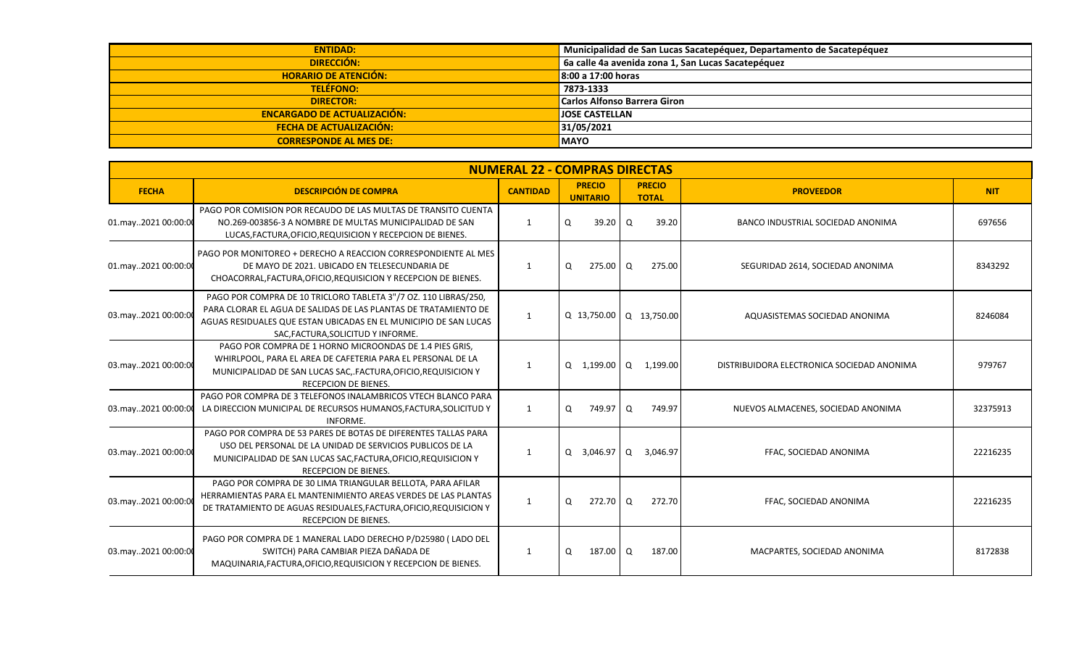| <b>ENTIDAD:</b>                    | Municipalidad de San Lucas Sacatepéquez, Departamento de Sacatepéquez |
|------------------------------------|-----------------------------------------------------------------------|
| DIRECCIÓN:                         | 6a calle 4a avenida zona 1, San Lucas Sacatepéquez                    |
| <b>HORARIO DE ATENCIÓN:</b>        | $\vert$ 8:00 a 17:00 horas                                            |
| <b>TELÉFONO:</b>                   | 7873-1333                                                             |
| <b>DIRECTOR:</b>                   | <b>Carlos Alfonso Barrera Giron</b>                                   |
| <b>ENCARGADO DE ACTUALIZACIÓN:</b> | <b>JOSE CASTELLAN</b>                                                 |
| <b>FECHA DE ACTUALIZACIÓN:</b>     | 31/05/2021                                                            |
| <b>CORRESPONDE AL MES DE:</b>      | <b>MAYO</b>                                                           |

|                     | <b>NUMERAL 22 - COMPRAS DIRECTAS</b>                                                                                                                                                                                                         |                 |                                  |                               |                                            |            |  |  |  |  |  |  |
|---------------------|----------------------------------------------------------------------------------------------------------------------------------------------------------------------------------------------------------------------------------------------|-----------------|----------------------------------|-------------------------------|--------------------------------------------|------------|--|--|--|--|--|--|
| <b>FECHA</b>        | <b>DESCRIPCIÓN DE COMPRA</b>                                                                                                                                                                                                                 | <b>CANTIDAD</b> | <b>PRECIO</b><br><b>UNITARIO</b> | <b>PRECIO</b><br><b>TOTAL</b> | <b>PROVEEDOR</b>                           | <b>NIT</b> |  |  |  |  |  |  |
| 01.may2021 00:00:00 | PAGO POR COMISION POR RECAUDO DE LAS MULTAS DE TRANSITO CUENTA<br>NO.269-003856-3 A NOMBRE DE MULTAS MUNICIPALIDAD DE SAN<br>LUCAS, FACTURA, OFICIO, REQUISICION Y RECEPCION DE BIENES.                                                      | 1               | 39.20<br>O                       | l Q<br>39.20                  | BANCO INDUSTRIAL SOCIEDAD ANONIMA          | 697656     |  |  |  |  |  |  |
| 01.may2021 00:00:00 | PAGO POR MONITOREO + DERECHO A REACCION CORRESPONDIENTE AL MES<br>DE MAYO DE 2021, UBICADO EN TELESECUNDARIA DE<br>CHOACORRAL, FACTURA, OFICIO, REQUISICION Y RECEPCION DE BIENES.                                                           | 1               | 275.00 Q<br>Q                    | 275.00                        | SEGURIDAD 2614, SOCIEDAD ANONIMA           | 8343292    |  |  |  |  |  |  |
| 03.may2021 00:00:00 | PAGO POR COMPRA DE 10 TRICLORO TABLETA 3"/7 OZ. 110 LIBRAS/250,<br>PARA CLORAR EL AGUA DE SALIDAS DE LAS PLANTAS DE TRATAMIENTO DE<br>AGUAS RESIDUALES QUE ESTAN UBICADAS EN EL MUNICIPIO DE SAN LUCAS<br>SAC, FACTURA, SOLICITUD Y INFORME. | 1               |                                  | Q 13,750.00 Q 13,750.00       | AQUASISTEMAS SOCIEDAD ANONIMA              | 8246084    |  |  |  |  |  |  |
| 03.may2021 00:00:00 | PAGO POR COMPRA DE 1 HORNO MICROONDAS DE 1.4 PIES GRIS,<br>WHIRLPOOL, PARA EL AREA DE CAFETERIA PARA EL PERSONAL DE LA<br>MUNICIPALIDAD DE SAN LUCAS SAC, FACTURA, OFICIO, REQUISICION Y<br><b>RECEPCION DE BIENES.</b>                      | $\mathbf{1}$    |                                  | Q 1,199.00 Q 1,199.00         | DISTRIBUIDORA ELECTRONICA SOCIEDAD ANONIMA | 979767     |  |  |  |  |  |  |
| 03.may2021 00:00:00 | PAGO POR COMPRA DE 3 TELEFONOS INALAMBRICOS VTECH BLANCO PARA<br>LA DIRECCION MUNICIPAL DE RECURSOS HUMANOS, FACTURA, SOLICITUD Y<br>INFORME.                                                                                                | 1               | 749.97<br>Q                      | l Q<br>749.97                 | NUEVOS ALMACENES, SOCIEDAD ANONIMA         | 32375913   |  |  |  |  |  |  |
| 03.may2021 00:00:00 | PAGO POR COMPRA DE 53 PARES DE BOTAS DE DIFERENTES TALLAS PARA<br>USO DEL PERSONAL DE LA UNIDAD DE SERVICIOS PUBLICOS DE LA<br>MUNICIPALIDAD DE SAN LUCAS SAC, FACTURA, OFICIO, REQUISICION Y<br><b>RECEPCION DE BIENES.</b>                 | 1               | 3,046.97 Q<br>$\Omega$           | 3,046.97                      | FFAC, SOCIEDAD ANONIMA                     | 22216235   |  |  |  |  |  |  |
| 03.may2021 00:00:0  | PAGO POR COMPRA DE 30 LIMA TRIANGULAR BELLOTA, PARA AFILAR<br>HERRAMIENTAS PARA EL MANTENIMIENTO AREAS VERDES DE LAS PLANTAS<br>DE TRATAMIENTO DE AGUAS RESIDUALES, FACTURA, OFICIO, REQUISICION Y<br>RECEPCION DE BIENES.                   | 1               | 272.70 O<br>$\Omega$             | 272.70                        | FFAC, SOCIEDAD ANONIMA                     | 22216235   |  |  |  |  |  |  |
| 03.may2021 00:00:00 | PAGO POR COMPRA DE 1 MANERAL LADO DERECHO P/D25980 (LADO DEL<br>SWITCH) PARA CAMBIAR PIEZA DAÑADA DE<br>MAQUINARIA, FACTURA, OFICIO, REQUISICION Y RECEPCION DE BIENES.                                                                      | 1               | 187.00 Q<br>Q                    | 187.00                        | MACPARTES, SOCIEDAD ANONIMA                | 8172838    |  |  |  |  |  |  |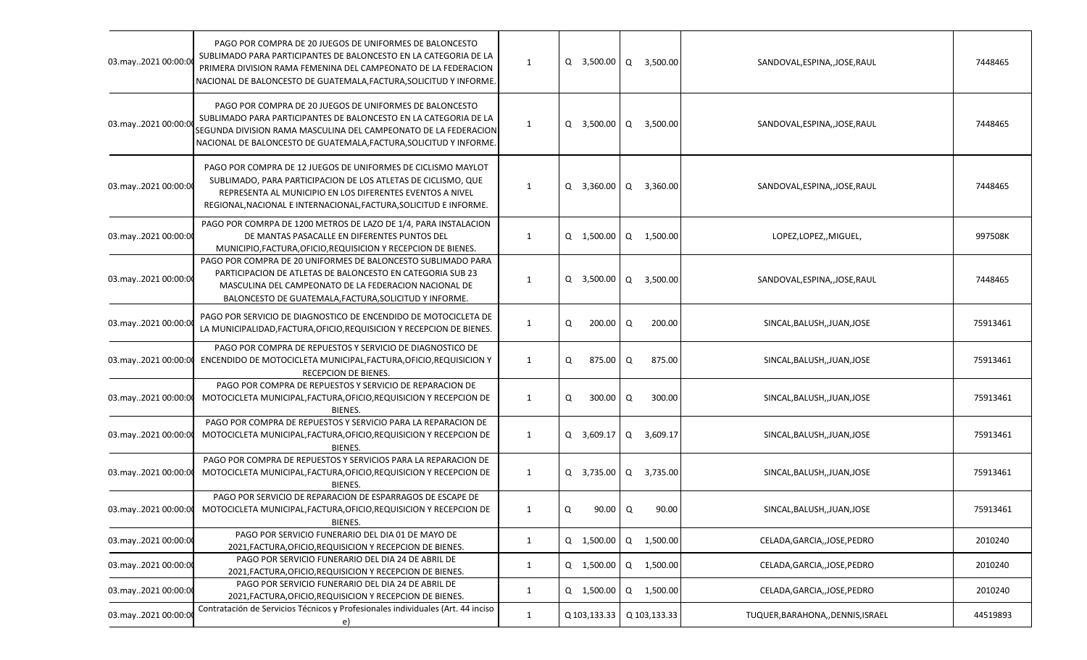| 03.may2021 00:00:00 | PAGO POR COMPRA DE 20 JUEGOS DE UNIFORMES DE BALONCESTO<br>SUBLIMADO PARA PARTICIPANTES DE BALONCESTO EN LA CATEGORIA DE LA<br>PRIMERA DIVISION RAMA FEMENINA DEL CAMPEONATO DE LA FEDERACION<br>NACIONAL DE BALONCESTO DE GUATEMALA, FACTURA, SOLICITUD Y INFORME.  | 1            |   | Q 3,500.00 Q 3,500.00 |   |              | SANDOVAL, ESPINA, , JOSE, RAUL     | 7448465  |
|---------------------|----------------------------------------------------------------------------------------------------------------------------------------------------------------------------------------------------------------------------------------------------------------------|--------------|---|-----------------------|---|--------------|------------------------------------|----------|
| 03.may2021 00:00:0  | PAGO POR COMPRA DE 20 JUEGOS DE UNIFORMES DE BALONCESTO<br>SUBLIMADO PARA PARTICIPANTES DE BALONCESTO EN LA CATEGORIA DE LA<br>SEGUNDA DIVISION RAMA MASCULINA DEL CAMPEONATO DE LA FEDERACION<br>NACIONAL DE BALONCESTO DE GUATEMALA, FACTURA, SOLICITUD Y INFORME. | 1            |   | Q 3,500.00 Q          |   | 3,500.00     | SANDOVAL, ESPINA, , JOSE, RAUL     | 7448465  |
| 03.may2021 00:00:00 | PAGO POR COMPRA DE 12 JUEGOS DE UNIFORMES DE CICLISMO MAYLOT<br>SUBLIMADO, PARA PARTICIPACION DE LOS ATLETAS DE CICLISMO, QUE<br>REPRESENTA AL MUNICIPIO EN LOS DIFERENTES EVENTOS A NIVEL<br>REGIONAL, NACIONAL E INTERNACIONAL, FACTURA, SOLICITUD E INFORME.      | 1            |   | Q 3,360.00 Q 3,360.00 |   |              | SANDOVAL, ESPINA, , JOSE, RAUL     | 7448465  |
| 03.may2021 00:00:00 | PAGO POR COMRPA DE 1200 METROS DE LAZO DE 1/4, PARA INSTALACION<br>DE MANTAS PASACALLE EN DIFERENTES PUNTOS DEL<br>MUNICIPIO, FACTURA, OFICIO, REQUISICION Y RECEPCION DE BIENES.                                                                                    | $\mathbf{1}$ |   | Q 1,500.00 Q 1,500.00 |   |              | LOPEZ,LOPEZ,,MIGUEL,               | 997508K  |
| 03.may2021 00:00:00 | PAGO POR COMPRA DE 20 UNIFORMES DE BALONCESTO SUBLIMADO PARA<br>PARTICIPACION DE ATLETAS DE BALONCESTO EN CATEGORIA SUB 23<br>MASCULINA DEL CAMPEONATO DE LA FEDERACION NACIONAL DE<br>BALONCESTO DE GUATEMALA, FACTURA, SOLICITUD Y INFORME.                        | 1            |   | Q 3,500.00 Q          |   | 3,500.00     | SANDOVAL, ESPINA, , JOSE, RAUL     | 7448465  |
| 03.may2021 00:00:0  | PAGO POR SERVICIO DE DIAGNOSTICO DE ENCENDIDO DE MOTOCICLETA DE<br>LA MUNICIPALIDAD, FACTURA, OFICIO, REQUISICION Y RECEPCION DE BIENES.                                                                                                                             | 1            | Q | 200.00                | Q | 200.00       | SINCAL, BALUSH, , JUAN, JOSE       | 75913461 |
| 03.may2021 00:00:00 | PAGO POR COMPRA DE REPUESTOS Y SERVICIO DE DIAGNOSTICO DE<br>ENCENDIDO DE MOTOCICLETA MUNICIPAL, FACTURA, OFICIO, REQUISICION Y<br>RECEPCION DE BIENES.                                                                                                              | 1            | Q | 875.00 Q              |   | 875.00       | SINCAL, BALUSH, , JUAN, JOSE       | 75913461 |
| 03.may2021 00:00:00 | PAGO POR COMPRA DE REPUESTOS Y SERVICIO DE REPARACION DE<br>MOTOCICLETA MUNICIPAL, FACTURA, OFICIO, REQUISICION Y RECEPCION DE<br>BIENES.                                                                                                                            | $\mathbf{1}$ | Q | 300.00 Q              |   | 300.00       | SINCAL, BALUSH, , JUAN, JOSE       | 75913461 |
| 03.may2021 00:00:00 | PAGO POR COMPRA DE REPUESTOS Y SERVICIO PARA LA REPARACION DE<br>MOTOCICLETA MUNICIPAL, FACTURA, OFICIO, REQUISICION Y RECEPCION DE<br>BIENES.                                                                                                                       | 1            |   | Q 3,609.17 Q          |   | 3,609.17     | SINCAL, BALUSH, , JUAN, JOSE       | 75913461 |
| 03.may2021 00:00:00 | PAGO POR COMPRA DE REPUESTOS Y SERVICIOS PARA LA REPARACION DE<br>MOTOCICLETA MUNICIPAL, FACTURA, OFICIO, REQUISICION Y RECEPCION DE<br>BIENES.                                                                                                                      | 1            |   | Q 3,735.00 Q 3,735.00 |   |              | SINCAL, BALUSH, , JUAN, JOSE       | 75913461 |
|                     | PAGO POR SERVICIO DE REPARACION DE ESPARRAGOS DE ESCAPE DE<br>03.may2021 00:00:00 MOTOCICLETA MUNICIPAL, FACTURA, OFICIO, REQUISICION Y RECEPCION DE<br>BIENES.                                                                                                      | 1            | Q | $90.00 \mid Q$        |   | 90.00        | SINCAL, BALUSH, , JUAN, JOSE       | 75913461 |
| 03.may2021 00:00:00 | PAGO POR SERVICIO FUNERARIO DEL DIA 01 DE MAYO DE<br>2021, FACTURA, OFICIO, REQUISICION Y RECEPCION DE BIENES.                                                                                                                                                       | $\mathbf{1}$ |   | Q 1,500.00 Q 1,500.00 |   |              | CELADA, GARCIA, , JOSE, PEDRO      | 2010240  |
| 03.may2021 00:00:00 | PAGO POR SERVICIO FUNERARIO DEL DIA 24 DE ABRIL DE<br>2021, FACTURA, OFICIO, REQUISICION Y RECEPCION DE BIENES.                                                                                                                                                      | $\mathbf{1}$ |   | Q 1,500.00 Q 1,500.00 |   |              | CELADA, GARCIA, , JOSE, PEDRO      | 2010240  |
| 03.may2021 00:00:00 | PAGO POR SERVICIO FUNERARIO DEL DIA 24 DE ABRIL DE<br>2021, FACTURA, OFICIO, REQUISICION Y RECEPCION DE BIENES.                                                                                                                                                      | 1            |   | Q 1,500.00 Q          |   | 1,500.00     | CELADA, GARCIA, , JOSE, PEDRO      | 2010240  |
| 03.may2021 00:00:00 | Contratación de Servicios Técnicos y Profesionales individuales (Art. 44 inciso<br>e)                                                                                                                                                                                | $\mathbf{1}$ |   | Q 103,133.33          |   | Q 103,133.33 | TUQUER, BARAHONA, , DENNIS, ISRAEL | 44519893 |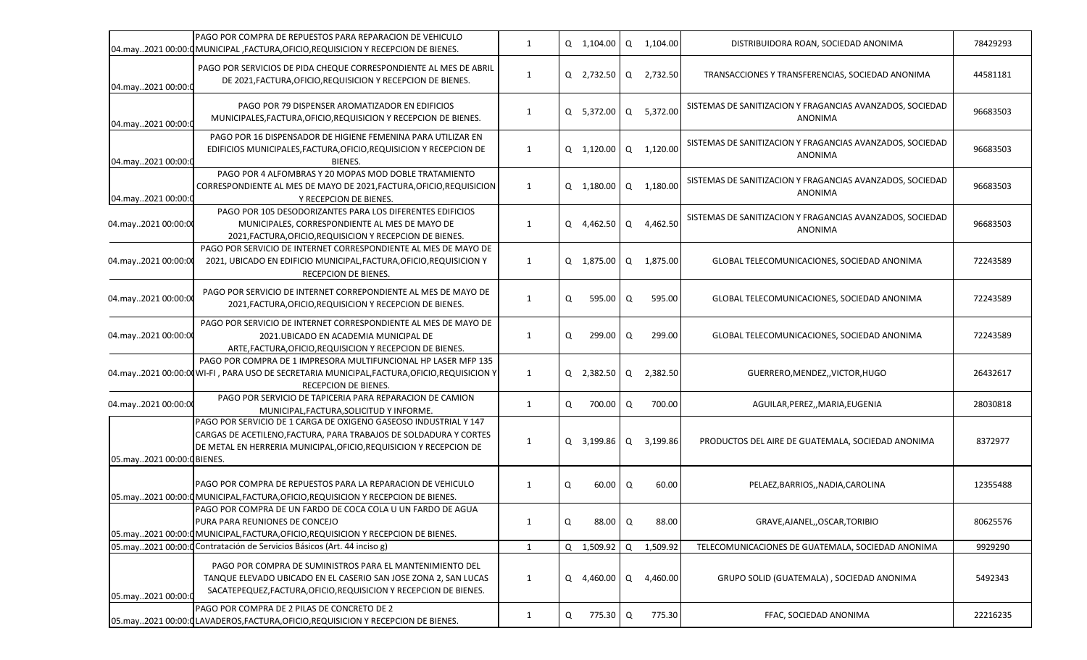|                            | PAGO POR COMPRA DE REPUESTOS PARA REPARACION DE VEHICULO<br>[04.may2021 00:00:0 MUNICIPAL, FACTURA, OFICIO, REQUISICION Y RECEPCION DE BIENES.                                                              | 1            |   | Q 1,104.00            | Q | 1,104.00   | DISTRIBUIDORA ROAN, SOCIEDAD ANONIMA                                        | 78429293 |
|----------------------------|-------------------------------------------------------------------------------------------------------------------------------------------------------------------------------------------------------------|--------------|---|-----------------------|---|------------|-----------------------------------------------------------------------------|----------|
| 04.may2021 00:00:0         | PAGO POR SERVICIOS DE PIDA CHEQUE CORRESPONDIENTE AL MES DE ABRIL<br>DE 2021, FACTURA, OFICIO, REQUISICION Y RECEPCION DE BIENES.                                                                           | 1            |   | Q 2,732.50 Q          |   | 2,732.50   | TRANSACCIONES Y TRANSFERENCIAS, SOCIEDAD ANONIMA                            | 44581181 |
| 04.may2021 00:00:          | PAGO POR 79 DISPENSER AROMATIZADOR EN EDIFICIOS<br>MUNICIPALES, FACTURA, OFICIO, REQUISICION Y RECEPCION DE BIENES.                                                                                         | 1            |   | Q 5,372.00 Q          |   | 5,372.00   | SISTEMAS DE SANITIZACION Y FRAGANCIAS AVANZADOS, SOCIEDAD<br>ANONIMA        | 96683503 |
| 04.may2021 00:00:0         | PAGO POR 16 DISPENSADOR DE HIGIENE FEMENINA PARA UTILIZAR EN<br>EDIFICIOS MUNICIPALES, FACTURA, OFICIO, REQUISICION Y RECEPCION DE<br><b>BIENES.</b>                                                        | 1            |   | $Q$ 1,120.00 $Q$      |   | 1,120.00   | SISTEMAS DE SANITIZACION Y FRAGANCIAS AVANZADOS, SOCIEDAD<br>ANONIMA        | 96683503 |
| 04.may2021 00:00:0         | PAGO POR 4 ALFOMBRAS Y 20 MOPAS MOD DOBLE TRATAMIENTO<br>CORRESPONDIENTE AL MES DE MAYO DE 2021, FACTURA, OFICIO, REQUISICION<br>Y RECEPCION DE BIENES.                                                     | 1            |   | $Q$ 1,180.00          |   | Q 1,180.00 | SISTEMAS DE SANITIZACION Y FRAGANCIAS AVANZADOS, SOCIEDAD<br>ANONIMA        | 96683503 |
| 04.may2021 00:00:00        | PAGO POR 105 DESODORIZANTES PARA LOS DIFERENTES EDIFICIOS<br>MUNICIPALES, CORRESPONDIENTE AL MES DE MAYO DE<br>2021, FACTURA, OFICIO, REQUISICION Y RECEPCION DE BIENES.                                    | 1            |   | Q 4,462.50            | Q | 4,462.50   | SISTEMAS DE SANITIZACION Y FRAGANCIAS AVANZADOS, SOCIEDAD<br><b>ANONIMA</b> | 96683503 |
| 04.may2021 00:00:00        | PAGO POR SERVICIO DE INTERNET CORRESPONDIENTE AL MES DE MAYO DE<br>2021, UBICADO EN EDIFICIO MUNICIPAL, FACTURA, OFICIO, REQUISICION Y<br>RECEPCION DE BIENES.                                              | $\mathbf{1}$ |   | Q 1,875.00 Q 1,875.00 |   |            | GLOBAL TELECOMUNICACIONES, SOCIEDAD ANONIMA                                 | 72243589 |
| 04.may2021 00:00:00        | PAGO POR SERVICIO DE INTERNET CORREPONDIENTE AL MES DE MAYO DE<br>2021, FACTURA, OFICIO, REQUISICION Y RECEPCION DE BIENES.                                                                                 | 1            | Q | 595.00                | Q | 595.00     | GLOBAL TELECOMUNICACIONES, SOCIEDAD ANONIMA                                 | 72243589 |
| 04.may2021 00:00:00        | PAGO POR SERVICIO DE INTERNET CORRESPONDIENTE AL MES DE MAYO DE<br>2021.UBICADO EN ACADEMIA MUNICIPAL DE<br>ARTE, FACTURA, OFICIO, REQUISICION Y RECEPCION DE BIENES.                                       | 1            | Q | 299.00                | Q | 299.00     | GLOBAL TELECOMUNICACIONES, SOCIEDAD ANONIMA                                 | 72243589 |
|                            | PAGO POR COMPRA DE 1 IMPRESORA MULTIFUNCIONAL HP LASER MFP 135<br>04.may2021 00:00:00 WI-FI, PARA USO DE SECRETARIA MUNICIPAL, FACTURA, OFICIO, REQUISICION Y<br>RECEPCION DE BIENES.                       | 1            |   | Q 2,382.50            | Q | 2,382.50   | GUERRERO, MENDEZ,, VICTOR, HUGO                                             | 26432617 |
| 04.may2021 00:00:00        | PAGO POR SERVICIO DE TAPICERIA PARA REPARACION DE CAMION<br>MUNICIPAL, FACTURA, SOLICITUD Y INFORME.                                                                                                        | 1            | Q | 700.00                | Q | 700.00     | AGUILAR, PEREZ,, MARIA, EUGENIA                                             | 28030818 |
| 05.may2021 00:00:0 BIENES. | PAGO POR SERVICIO DE 1 CARGA DE OXIGENO GASEOSO INDUSTRIAL Y 147<br>CARGAS DE ACETILENO, FACTURA, PARA TRABAJOS DE SOLDADURA Y CORTES<br>DE METAL EN HERRERIA MUNICIPAL, OFICIO, REQUISICION Y RECEPCION DE | 1            |   | Q 3,199.86 Q          |   | 3,199.86   | PRODUCTOS DEL AIRE DE GUATEMALA, SOCIEDAD ANONIMA                           | 8372977  |
|                            | PAGO POR COMPRA DE REPUESTOS PARA LA REPARACION DE VEHICULO<br>05.may2021 00:00:0 MUNICIPAL, FACTURA, OFICIO, REQUISICION Y RECEPCION DE BIENES.                                                            | 1            | Q | 60.00                 | Q | 60.00      | PELAEZ, BARRIOS, , NADIA, CAROLINA                                          | 12355488 |
|                            | PAGO POR COMPRA DE UN FARDO DE COCA COLA U UN FARDO DE AGUA<br>PURA PARA REUNIONES DE CONCEJO<br>05.may2021 00:00:0 MUNICIPAL, FACTURA, OFICIO, REQUISICION Y RECEPCION DE BIENES.                          | 1            | Q | 88.00 Q               |   | 88.00      | GRAVE, AJANEL, OSCAR, TORIBIO                                               | 80625576 |
|                            | 05. may. 2021 00:00: Contratación de Servicios Básicos (Art. 44 inciso g)                                                                                                                                   | $\mathbf{1}$ |   | Q 1,509.92 Q          |   | 1,509.92   | TELECOMUNICACIONES DE GUATEMALA, SOCIEDAD ANONIMA                           | 9929290  |
| 05.may2021 00:00:0         | PAGO POR COMPRA DE SUMINISTROS PARA EL MANTENIMIENTO DEL<br>TANQUE ELEVADO UBICADO EN EL CASERIO SAN JOSE ZONA 2, SAN LUCAS<br>SACATEPEQUEZ, FACTURA, OFICIO, REQUISICION Y RECEPCION DE BIENES.            | $\mathbf{1}$ |   | Q 4,460.00 Q 4,460.00 |   |            | GRUPO SOLID (GUATEMALA), SOCIEDAD ANONIMA                                   | 5492343  |
|                            | PAGO POR COMPRA DE 2 PILAS DE CONCRETO DE 2<br> 05.may2021 00:00:0 LAVADEROS, FACTURA, OFICIO, REQUISICION Y RECEPCION DE BIENES.                                                                           | 1            | Q | 775.30 Q              |   | 775.30     | FFAC, SOCIEDAD ANONIMA                                                      | 22216235 |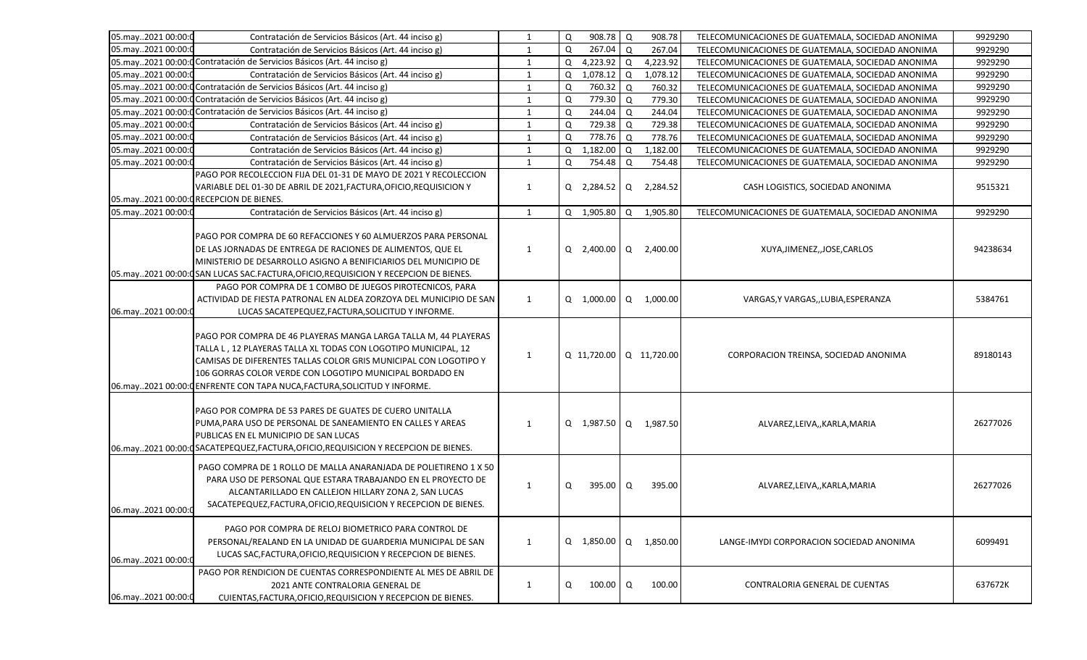| 05.may2021 00:00:0 |                                                                                                              | $\mathbf{1}$ |        | 908.78 Q                |             | 908.78     |                                                                                                        | 9929290  |
|--------------------|--------------------------------------------------------------------------------------------------------------|--------------|--------|-------------------------|-------------|------------|--------------------------------------------------------------------------------------------------------|----------|
| 05.may2021 00:00:0 | Contratación de Servicios Básicos (Art. 44 inciso g)<br>Contratación de Servicios Básicos (Art. 44 inciso g) | 1            | Q<br>Q | 267.04 Q                |             | 267.04     | TELECOMUNICACIONES DE GUATEMALA, SOCIEDAD ANONIMA<br>TELECOMUNICACIONES DE GUATEMALA, SOCIEDAD ANONIMA | 9929290  |
|                    | 05.may2021 00:00:0 Contratación de Servicios Básicos (Art. 44 inciso g)                                      | $\mathbf{1}$ | Q      | $4,223.92$ Q            |             | 4,223.92   | TELECOMUNICACIONES DE GUATEMALA, SOCIEDAD ANONIMA                                                      | 9929290  |
| 05.may2021 00:00:0 | Contratación de Servicios Básicos (Art. 44 inciso g)                                                         | $\mathbf{1}$ | Q      | $1,078.12$ Q            |             | 1,078.12   | TELECOMUNICACIONES DE GUATEMALA, SOCIEDAD ANONIMA                                                      | 9929290  |
|                    | 05.may2021 00:00:0 Contratación de Servicios Básicos (Art. 44 inciso g)                                      | $\mathbf{1}$ | Q      | 760.32 Q                |             | 760.32     | TELECOMUNICACIONES DE GUATEMALA, SOCIEDAD ANONIMA                                                      | 9929290  |
|                    | 05.may2021 00:00: Contratación de Servicios Básicos (Art. 44 inciso g)                                       | $\mathbf{1}$ | Q      | 779.30                  | Q           | 779.30     | TELECOMUNICACIONES DE GUATEMALA, SOCIEDAD ANONIMA                                                      | 9929290  |
|                    | 05.may2021 00:00:0 Contratación de Servicios Básicos (Art. 44 inciso g)                                      | $\mathbf{1}$ | Q      | 244.04                  | $\mathsf Q$ | 244.04     | TELECOMUNICACIONES DE GUATEMALA, SOCIEDAD ANONIMA                                                      | 9929290  |
| 05.may2021 00:00:0 | Contratación de Servicios Básicos (Art. 44 inciso g)                                                         | 1            | Q      | 729.38                  | $\mathsf Q$ | 729.38     | TELECOMUNICACIONES DE GUATEMALA, SOCIEDAD ANONIMA                                                      | 9929290  |
| 05.may2021 00:00:  | Contratación de Servicios Básicos (Art. 44 inciso g)                                                         | 1            | Q      | 778.76                  | Q           | 778.76     | TELECOMUNICACIONES DE GUATEMALA, SOCIEDAD ANONIMA                                                      | 9929290  |
| 05.may2021 00:00:0 | Contratación de Servicios Básicos (Art. 44 inciso g)                                                         | 1            | Q      | 1,182.00                | $\mathsf Q$ | 1,182.00   | TELECOMUNICACIONES DE GUATEMALA, SOCIEDAD ANONIMA                                                      | 9929290  |
| 05.may2021 00:00:0 | Contratación de Servicios Básicos (Art. 44 inciso g)                                                         | $\mathbf{1}$ | Q      | 754.48                  | Q           | 754.48     | TELECOMUNICACIONES DE GUATEMALA, SOCIEDAD ANONIMA                                                      | 9929290  |
|                    | PAGO POR RECOLECCION FIJA DEL 01-31 DE MAYO DE 2021 Y RECOLECCION                                            |              |        |                         |             |            |                                                                                                        |          |
|                    | VARIABLE DEL 01-30 DE ABRIL DE 2021, FACTURA, OFICIO, REQUISICION Y                                          | 1            |        | Q 2,284.52 Q 2,284.52   |             |            | CASH LOGISTICS, SOCIEDAD ANONIMA                                                                       | 9515321  |
|                    | 05.may2021 00:00:0 RECEPCION DE BIENES.                                                                      |              |        |                         |             |            |                                                                                                        |          |
| 05.may2021 00:00:0 |                                                                                                              | 1            |        | Q $1,905.80$ Q          |             | 1,905.80   | TELECOMUNICACIONES DE GUATEMALA, SOCIEDAD ANONIMA                                                      | 9929290  |
|                    | Contratación de Servicios Básicos (Art. 44 inciso g)                                                         |              |        |                         |             |            |                                                                                                        |          |
|                    | PAGO POR COMPRA DE 60 REFACCIONES Y 60 ALMUERZOS PARA PERSONAL                                               |              |        |                         |             |            |                                                                                                        |          |
|                    |                                                                                                              |              |        |                         |             |            |                                                                                                        |          |
|                    | DE LAS JORNADAS DE ENTREGA DE RACIONES DE ALIMENTOS, QUE EL                                                  | 1            |        | Q 2,400.00 Q 2,400.00   |             |            | XUYA, JIMENEZ, JOSE, CARLOS                                                                            | 94238634 |
|                    | MINISTERIO DE DESARROLLO ASIGNO A BENIFICIARIOS DEL MUNICIPIO DE                                             |              |        |                         |             |            |                                                                                                        |          |
|                    | 05.may2021 00:00:0SAN LUCAS SAC.FACTURA, OFICIO, REQUISICION Y RECEPCION DE BIENES.                          |              |        |                         |             |            |                                                                                                        |          |
|                    | PAGO POR COMPRA DE 1 COMBO DE JUEGOS PIROTECNICOS, PARA                                                      |              |        |                         |             |            |                                                                                                        |          |
|                    | ACTIVIDAD DE FIESTA PATRONAL EN ALDEA ZORZOYA DEL MUNICIPIO DE SAN                                           | 1            |        | Q 1,000.00 Q 1,000.00   |             |            | VARGAS, Y VARGAS, , LUBIA, ESPERANZA                                                                   | 5384761  |
| 06.may2021 00:00:0 | LUCAS SACATEPEQUEZ, FACTURA, SOLICITUD Y INFORME.                                                            |              |        |                         |             |            |                                                                                                        |          |
|                    |                                                                                                              |              |        |                         |             |            |                                                                                                        |          |
|                    | PAGO POR COMPRA DE 46 PLAYERAS MANGA LARGA TALLA M, 44 PLAYERAS                                              |              |        |                         |             |            |                                                                                                        |          |
|                    | TALLA L, 12 PLAYERAS TALLA XL TODAS CON LOGOTIPO MUNICIPAL, 12                                               | 1            |        | Q 11,720.00 Q 11,720.00 |             |            | CORPORACION TREINSA, SOCIEDAD ANONIMA                                                                  | 89180143 |
|                    | CAMISAS DE DIFERENTES TALLAS COLOR GRIS MUNICIPAL CON LOGOTIPO Y                                             |              |        |                         |             |            |                                                                                                        |          |
|                    | 106 GORRAS COLOR VERDE CON LOGOTIPO MUNICIPAL BORDADO EN                                                     |              |        |                         |             |            |                                                                                                        |          |
|                    | 06.may2021 00:00:0 ENFRENTE CON TAPA NUCA, FACTURA, SOLICITUD Y INFORME.                                     |              |        |                         |             |            |                                                                                                        |          |
|                    |                                                                                                              |              |        |                         |             |            |                                                                                                        |          |
|                    | PAGO POR COMPRA DE 53 PARES DE GUATES DE CUERO UNITALLA                                                      |              |        |                         |             |            |                                                                                                        |          |
|                    | PUMA, PARA USO DE PERSONAL DE SANEAMIENTO EN CALLES Y AREAS                                                  | 1            |        | Q 1,987.50 Q 1,987.50   |             |            | ALVAREZ,LEIVA,,KARLA,MARIA                                                                             | 26277026 |
|                    | PUBLICAS EN EL MUNICIPIO DE SAN LUCAS                                                                        |              |        |                         |             |            |                                                                                                        |          |
|                    | 06.may2021 00:00: CSACATEPEQUEZ, FACTURA, OFICIO, REQUISICION Y RECEPCION DE BIENES.                         |              |        |                         |             |            |                                                                                                        |          |
|                    | PAGO COMPRA DE 1 ROLLO DE MALLA ANARANJADA DE POLIETIRENO 1 X 50                                             |              |        |                         |             |            |                                                                                                        |          |
|                    | PARA USO DE PERSONAL QUE ESTARA TRABAJANDO EN EL PROYECTO DE                                                 |              |        |                         |             |            |                                                                                                        |          |
|                    | ALCANTARILLADO EN CALLEJON HILLARY ZONA 2, SAN LUCAS                                                         | 1            | Q      | 395.00                  | Q           | 395.00     | ALVAREZ,LEIVA,,KARLA,MARIA                                                                             | 26277026 |
|                    | SACATEPEQUEZ, FACTURA, OFICIO, REQUISICION Y RECEPCION DE BIENES.                                            |              |        |                         |             |            |                                                                                                        |          |
| 06.may2021 00:00:0 |                                                                                                              |              |        |                         |             |            |                                                                                                        |          |
|                    | PAGO POR COMPRA DE RELOJ BIOMETRICO PARA CONTROL DE                                                          |              |        |                         |             |            |                                                                                                        |          |
|                    | PERSONAL/REALAND EN LA UNIDAD DE GUARDERIA MUNICIPAL DE SAN                                                  | 1            |        | $Q$ 1,850.00            |             | Q 1,850.00 | LANGE-IMYDI CORPORACION SOCIEDAD ANONIMA                                                               | 6099491  |
|                    | LUCAS SAC, FACTURA, OFICIO, REQUISICION Y RECEPCION DE BIENES.                                               |              |        |                         |             |            |                                                                                                        |          |
| 06.may2021 00:00:0 |                                                                                                              |              |        |                         |             |            |                                                                                                        |          |
|                    | PAGO POR RENDICION DE CUENTAS CORRESPONDIENTE AL MES DE ABRIL DE                                             |              |        |                         |             |            |                                                                                                        |          |
|                    | 2021 ANTE CONTRALORIA GENERAL DE                                                                             | $\mathbf{1}$ | Q      | 100.00                  | Q           | 100.00     | CONTRALORIA GENERAL DE CUENTAS                                                                         | 637672K  |
| 06.may2021 00:00:0 | CUIENTAS, FACTURA, OFICIO, REQUISICION Y RECEPCION DE BIENES.                                                |              |        |                         |             |            |                                                                                                        |          |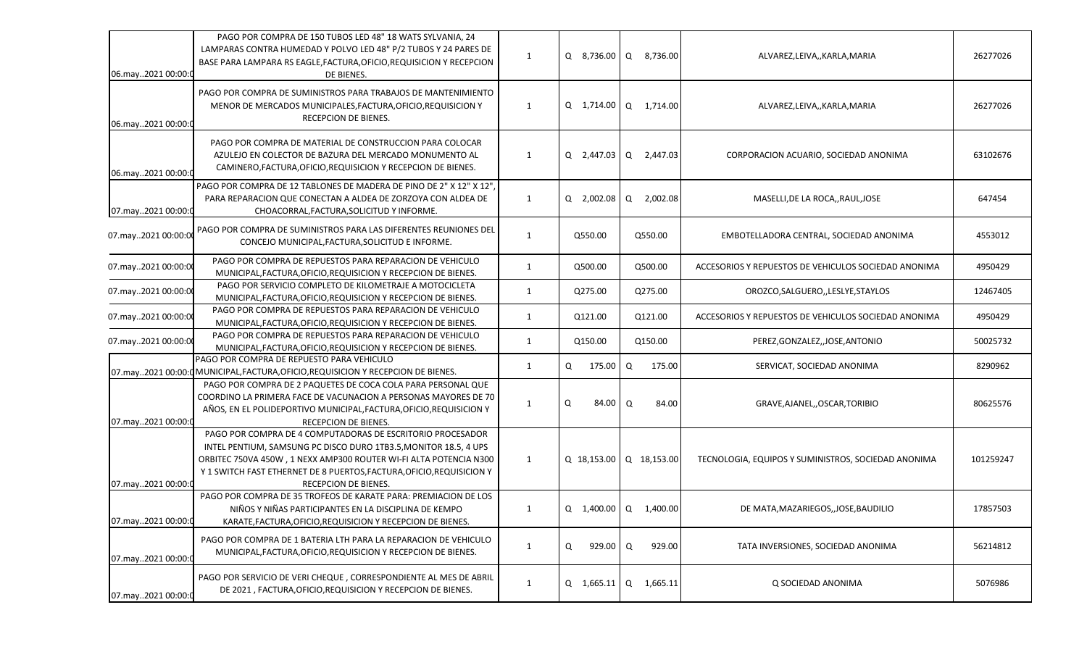| 06.may2021 00:00:   | PAGO POR COMPRA DE 150 TUBOS LED 48" 18 WATS SYLVANIA, 24<br>LAMPARAS CONTRA HUMEDAD Y POLVO LED 48" P/2 TUBOS Y 24 PARES DE<br>BASE PARA LAMPARA RS EAGLE, FACTURA, OFICIO, REQUISICION Y RECEPCION<br>DE BIENES.                                                                                   | $\mathbf{1}$ |                 | Q 8,736.00 Q 8,736.00   | ALVAREZ,LEIVA,,KARLA,MARIA                           | 26277026  |
|---------------------|------------------------------------------------------------------------------------------------------------------------------------------------------------------------------------------------------------------------------------------------------------------------------------------------------|--------------|-----------------|-------------------------|------------------------------------------------------|-----------|
| 06.may2021 00:00:0  | PAGO POR COMPRA DE SUMINISTROS PARA TRABAJOS DE MANTENIMIENTO<br>MENOR DE MERCADOS MUNICIPALES, FACTURA, OFICIO, REQUISICION Y<br>RECEPCION DE BIENES.                                                                                                                                               | $\mathbf{1}$ |                 | Q 1,714.00   Q 1,714.00 | ALVAREZ,LEIVA,,KARLA,MARIA                           | 26277026  |
| 06.may2021 00:00:0  | PAGO POR COMPRA DE MATERIAL DE CONSTRUCCION PARA COLOCAR<br>AZULEJO EN COLECTOR DE BAZURA DEL MERCADO MONUMENTO AL<br>CAMINERO, FACTURA, OFICIO, REQUISICION Y RECEPCION DE BIENES.                                                                                                                  | $\mathbf{1}$ |                 | Q 2,447.03 Q 2,447.03   | CORPORACION ACUARIO, SOCIEDAD ANONIMA                | 63102676  |
| 07.may2021 00:00:0  | PAGO POR COMPRA DE 12 TABLONES DE MADERA DE PINO DE 2" X 12" X 12",<br>PARA REPARACION QUE CONECTAN A ALDEA DE ZORZOYA CON ALDEA DE<br>CHOACORRAL, FACTURA, SOLICITUD Y INFORME.                                                                                                                     | $\mathbf{1}$ | Q 2,002.08      | Q 2,002.08              | MASELLI, DE LA ROCA,, RAUL, JOSE                     | 647454    |
| 07.may2021 00:00:0  | PAGO POR COMPRA DE SUMINISTROS PARA LAS DIFERENTES REUNIONES DEL<br>CONCEJO MUNICIPAL, FACTURA, SOLICITUD E INFORME.                                                                                                                                                                                 | $\mathbf{1}$ | Q550.00         | Q550.00                 | EMBOTELLADORA CENTRAL, SOCIEDAD ANONIMA              | 4553012   |
| 07.may2021 00:00:00 | PAGO POR COMPRA DE REPUESTOS PARA REPARACION DE VEHICULO<br>MUNICIPAL, FACTURA, OFICIO, REQUISICION Y RECEPCION DE BIENES.                                                                                                                                                                           | 1            | Q500.00         | Q500.00                 | ACCESORIOS Y REPUESTOS DE VEHICULOS SOCIEDAD ANONIMA | 4950429   |
| 07.may2021 00:00:00 | PAGO POR SERVICIO COMPLETO DE KILOMETRAJE A MOTOCICLETA<br>MUNICIPAL, FACTURA, OFICIO, REQUISICION Y RECEPCION DE BIENES.                                                                                                                                                                            | 1            | Q275.00         | Q275.00                 | OROZCO, SALGUERO, , LESLYE, STAYLOS                  | 12467405  |
| 07.may2021 00:00:0  | PAGO POR COMPRA DE REPUESTOS PARA REPARACION DE VEHICULO<br>MUNICIPAL, FACTURA, OFICIO, REQUISICION Y RECEPCION DE BIENES.                                                                                                                                                                           | $\mathbf{1}$ | Q121.00         | Q121.00                 | ACCESORIOS Y REPUESTOS DE VEHICULOS SOCIEDAD ANONIMA | 4950429   |
| 07.may2021 00:00:00 | PAGO POR COMPRA DE REPUESTOS PARA REPARACION DE VEHICULO<br>MUNICIPAL, FACTURA, OFICIO, REQUISICION Y RECEPCION DE BIENES.                                                                                                                                                                           | $\mathbf{1}$ | Q150.00         | Q150.00                 | PEREZ, GONZALEZ, , JOSE, ANTONIO                     | 50025732  |
|                     | PAGO POR COMPRA DE REPUESTO PARA VEHICULO<br>07.may2021 00:00:0 MUNICIPAL, FACTURA, OFICIO, REQUISICION Y RECEPCION DE BIENES.                                                                                                                                                                       | 1            | Q<br>175.00     | Q<br>175.00             | SERVICAT, SOCIEDAD ANONIMA                           | 8290962   |
| 07.may2021 00:00:0  | PAGO POR COMPRA DE 2 PAQUETES DE COCA COLA PARA PERSONAL QUE<br>COORDINO LA PRIMERA FACE DE VACUNACION A PERSONAS MAYORES DE 70<br>AÑOS, EN EL POLIDEPORTIVO MUNICIPAL, FACTURA, OFICIO, REQUISICION Y<br>RECEPCION DE BIENES.                                                                       | $\mathbf{1}$ | Q<br>84.00 Q    | 84.00                   | GRAVE, AJANEL, OSCAR, TORIBIO                        | 80625576  |
| 07.may2021 00:00:0  | PAGO POR COMPRA DE 4 COMPUTADORAS DE ESCRITORIO PROCESADOR<br>INTEL PENTIUM, SAMSUNG PC DISCO DURO 1TB3.5, MONITOR 18.5, 4 UPS<br>ORBITEC 750VA 450W, 1 NEXX AMP300 ROUTER WI-FI ALTA POTENCIA N300<br>Y 1 SWITCH FAST ETHERNET DE 8 PUERTOS, FACTURA, OFICIO, REQUISICION Y<br>RECEPCION DE BIENES. | 1            |                 | Q 18,153.00 Q 18,153.00 | TECNOLOGIA, EQUIPOS Y SUMINISTROS, SOCIEDAD ANONIMA  | 101259247 |
| 07.may2021 00:00:0  | PAGO POR COMPRA DE 35 TROFEOS DE KARATE PARA: PREMIACION DE LOS<br>NIÑOS Y NIÑAS PARTICIPANTES EN LA DISCIPLINA DE KEMPO<br>KARATE, FACTURA, OFICIO, REQUISICION Y RECEPCION DE BIENES.                                                                                                              | 1            |                 | Q 1,400.00 Q 1,400.00   | DE MATA, MAZARIEGOS, , JOSE, BAUDILIO                | 17857503  |
| 07.may2021 00:00:0  | PAGO POR COMPRA DE 1 BATERIA LTH PARA LA REPARACION DE VEHICULO<br>MUNICIPAL, FACTURA, OFICIO, REQUISICION Y RECEPCION DE BIENES.                                                                                                                                                                    | $\mathbf{1}$ | $929.00$ Q<br>Q | 929.00                  | TATA INVERSIONES, SOCIEDAD ANONIMA                   | 56214812  |
| 07.may2021 00:00:0  | PAGO POR SERVICIO DE VERI CHEQUE, CORRESPONDIENTE AL MES DE ABRIL<br>DE 2021, FACTURA, OFICIO, REQUISICION Y RECEPCION DE BIENES.                                                                                                                                                                    | $\mathbf{1}$ | Q 1,665.11      | $\Omega$<br>1,665.11    | Q SOCIEDAD ANONIMA                                   | 5076986   |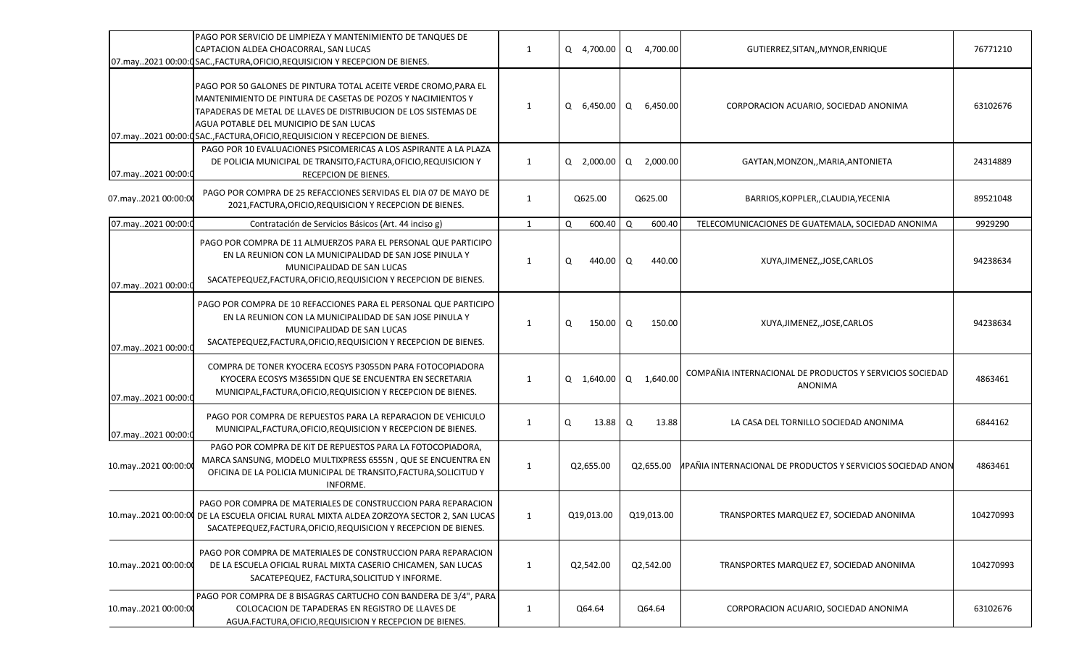|                     | PAGO POR SERVICIO DE LIMPIEZA Y MANTENIMIENTO DE TANQUES DE<br>CAPTACION ALDEA CHOACORRAL, SAN LUCAS<br>07.may2021 00:00:05AC.,FACTURA,OFICIO,REQUISICION Y RECEPCION DE BIENES.                                                                                                                                               | $\mathbf{1}$ | Q 4,700.00 Q 4,700.00 |            |          | GUTIERREZ, SITAN,, MYNOR, ENRIQUE                                   | 76771210  |
|---------------------|--------------------------------------------------------------------------------------------------------------------------------------------------------------------------------------------------------------------------------------------------------------------------------------------------------------------------------|--------------|-----------------------|------------|----------|---------------------------------------------------------------------|-----------|
|                     | PAGO POR 50 GALONES DE PINTURA TOTAL ACEITE VERDE CROMO, PARA EL<br>MANTENIMIENTO DE PINTURA DE CASETAS DE POZOS Y NACIMIENTOS Y<br>TAPADERAS DE METAL DE LLAVES DE DISTRIBUCION DE LOS SISTEMAS DE<br>AGUA POTABLE DEL MUNICIPIO DE SAN LUCAS<br>07.may2021 00:00:0 SAC., FACTURA, OFICIO, REQUISICION Y RECEPCION DE BIENES. | $\mathbf{1}$ | 6,450.00 Q<br>Q       |            | 6,450.00 | CORPORACION ACUARIO, SOCIEDAD ANONIMA                               | 63102676  |
| 07.may2021 00:00:0  | PAGO POR 10 EVALUACIONES PSICOMERICAS A LOS ASPIRANTE A LA PLAZA<br>DE POLICIA MUNICIPAL DE TRANSITO, FACTURA, OFICIO, REQUISICION Y<br>RECEPCION DE BIENES.                                                                                                                                                                   | 1            | Q 2,000.00            | Q 2,000.00 |          | GAYTAN, MONZON, , MARIA, ANTONIETA                                  | 24314889  |
| 07.may2021 00:00:00 | PAGO POR COMPRA DE 25 REFACCIONES SERVIDAS EL DIA 07 DE MAYO DE<br>2021, FACTURA, OFICIO, REQUISICION Y RECEPCION DE BIENES.                                                                                                                                                                                                   | $\mathbf{1}$ | Q625.00               | Q625.00    |          | BARRIOS, KOPPLER, , CLAUDIA, YECENIA                                | 89521048  |
| 07.may2021 00:00:0  | Contratación de Servicios Básicos (Art. 44 inciso g)                                                                                                                                                                                                                                                                           | $\mathbf{1}$ | Q<br>600.40           | Q          | 600.40   | TELECOMUNICACIONES DE GUATEMALA, SOCIEDAD ANONIMA                   | 9929290   |
| 07.may2021 00:00:0  | PAGO POR COMPRA DE 11 ALMUERZOS PARA EL PERSONAL QUE PARTICIPO<br>EN LA REUNION CON LA MUNICIPALIDAD DE SAN JOSE PINULA Y<br>MUNICIPALIDAD DE SAN LUCAS<br>SACATEPEQUEZ, FACTURA, OFICIO, REQUISICION Y RECEPCION DE BIENES.                                                                                                   | $\mathbf{1}$ | 440.00 Q<br>Q         |            | 440.00   | XUYA, JIMENEZ, JOSE, CARLOS                                         | 94238634  |
| 07.may2021 00:00:0  | PAGO POR COMPRA DE 10 REFACCIONES PARA EL PERSONAL QUE PARTICIPO<br>EN LA REUNION CON LA MUNICIPALIDAD DE SAN JOSE PINULA Y<br>MUNICIPALIDAD DE SAN LUCAS<br>SACATEPEQUEZ, FACTURA, OFICIO, REQUISICION Y RECEPCION DE BIENES.                                                                                                 | $\mathbf{1}$ | Q<br>150.00 Q         |            | 150.00   | XUYA, JIMENEZ, JOSE, CARLOS                                         | 94238634  |
| 07.may2021 00:00:0  | COMPRA DE TONER KYOCERA ECOSYS P3055DN PARA FOTOCOPIADORA<br>KYOCERA ECOSYS M3655IDN QUE SE ENCUENTRA EN SECRETARIA<br>MUNICIPAL, FACTURA, OFICIO, REQUISICION Y RECEPCION DE BIENES.                                                                                                                                          | $\mathbf{1}$ | Q 1,640.00            | $\Omega$   | 1,640.00 | COMPAÑIA INTERNACIONAL DE PRODUCTOS Y SERVICIOS SOCIEDAD<br>ANONIMA | 4863461   |
| 07.may2021 00:00:0  | PAGO POR COMPRA DE REPUESTOS PARA LA REPARACION DE VEHICULO<br>MUNICIPAL, FACTURA, OFICIO, REQUISICION Y RECEPCION DE BIENES.                                                                                                                                                                                                  | $\mathbf{1}$ | $13.88$ Q<br>Q        |            | 13.88    | LA CASA DEL TORNILLO SOCIEDAD ANONIMA                               | 6844162   |
| 10.may2021 00:00:00 | PAGO POR COMPRA DE KIT DE REPUESTOS PARA LA FOTOCOPIADORA,<br>MARCA SANSUNG, MODELO MULTIXPRESS 6555N, QUE SE ENCUENTRA EN<br>OFICINA DE LA POLICIA MUNICIPAL DE TRANSITO, FACTURA, SOLICITUD Y<br>INFORME.                                                                                                                    | $\mathbf{1}$ | Q2,655.00             | Q2,655.00  |          | <b>IPAÑIA INTERNACIONAL DE PRODUCTOS Y SERVICIOS SOCIEDAD ANON</b>  | 4863461   |
|                     | PAGO POR COMPRA DE MATERIALES DE CONSTRUCCION PARA REPARACION<br>10.may2021 00:00:00 DE LA ESCUELA OFICIAL RURAL MIXTA ALDEA ZORZOYA SECTOR 2, SAN LUCAS<br>SACATEPEQUEZ, FACTURA, OFICIO, REQUISICION Y RECEPCION DE BIENES.                                                                                                  | 1            | Q19,013.00            | Q19,013.00 |          | TRANSPORTES MARQUEZ E7, SOCIEDAD ANONIMA                            | 104270993 |
| 10.may2021 00:00:00 | PAGO POR COMPRA DE MATERIALES DE CONSTRUCCION PARA REPARACION<br>DE LA ESCUELA OFICIAL RURAL MIXTA CASERIO CHICAMEN, SAN LUCAS<br>SACATEPEQUEZ, FACTURA, SOLICITUD Y INFORME.                                                                                                                                                  | $\mathbf{1}$ | Q2,542.00             | Q2,542.00  |          | TRANSPORTES MARQUEZ E7, SOCIEDAD ANONIMA                            | 104270993 |
| 10.may2021 00:00:00 | PAGO POR COMPRA DE 8 BISAGRAS CARTUCHO CON BANDERA DE 3/4", PARA<br>COLOCACION DE TAPADERAS EN REGISTRO DE LLAVES DE<br>AGUA.FACTURA, OFICIO, REQUISICION Y RECEPCION DE BIENES.                                                                                                                                               | $\mathbf{1}$ | Q64.64                | Q64.64     |          | CORPORACION ACUARIO, SOCIEDAD ANONIMA                               | 63102676  |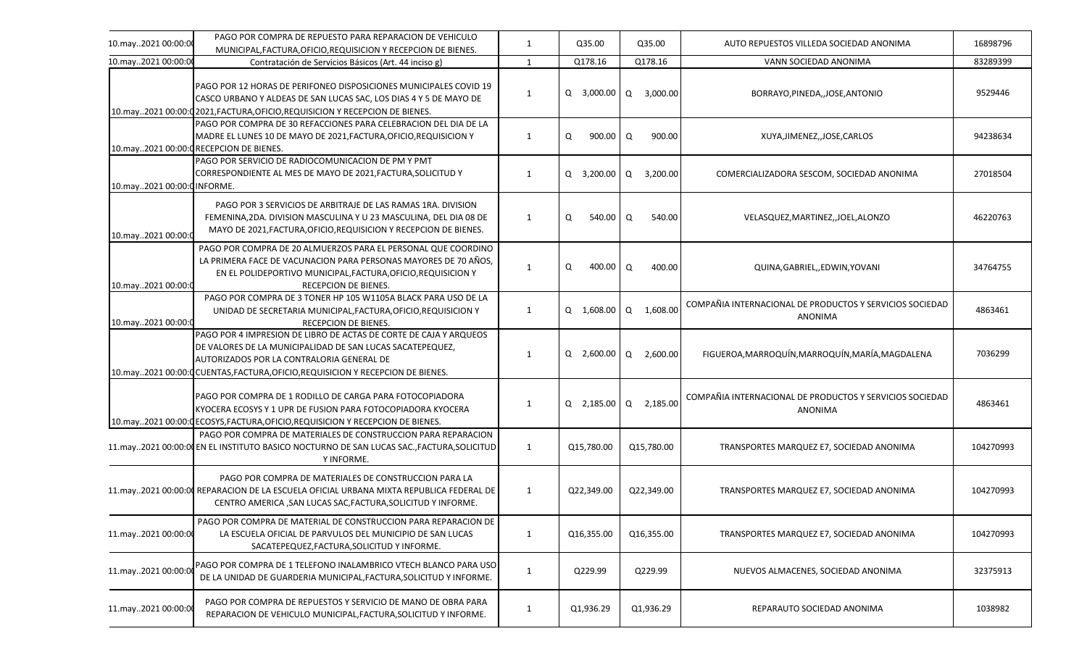| 10.may2021 00:00:00         | PAGO POR COMPRA DE REPUESTO PARA REPARACION DE VEHICULO<br>MUNICIPAL, FACTURA, OFICIO, REQUISICION Y RECEPCION DE BIENES.                                                                                                                                      | 1            | Q35.00           | Q35.00                | AUTO REPUESTOS VILLEDA SOCIEDAD ANONIMA                                    | 16898796  |
|-----------------------------|----------------------------------------------------------------------------------------------------------------------------------------------------------------------------------------------------------------------------------------------------------------|--------------|------------------|-----------------------|----------------------------------------------------------------------------|-----------|
| 10.may2021 00:00:00         | Contratación de Servicios Básicos (Art. 44 inciso g)                                                                                                                                                                                                           | 1            | Q178.16          | Q178.16               | VANN SOCIEDAD ANONIMA                                                      | 83289399  |
|                             | PAGO POR 12 HORAS DE PERIFONEO DISPOSICIONES MUNICIPALES COVID 19<br>CASCO URBANO Y ALDEAS DE SAN LUCAS SAC, LOS DIAS 4 Y 5 DE MAYO DE<br>10.may2021 00:00:0 2021, FACTURA, OFICIO, REQUISICION Y RECEPCION DE BIENES.                                         | 1            |                  | Q 3,000.00 Q 3,000.00 | BORRAYO, PINEDA, , JOSE, ANTONIO                                           | 9529446   |
|                             | PAGO POR COMPRA DE 30 REFACCIONES PARA CELEBRACION DEL DIA DE LA<br>MADRE EL LUNES 10 DE MAYO DE 2021, FACTURA, OFICIO, REQUISICION Y<br>10.may2021 00:00:0 RECEPCION DE BIENES.                                                                               | 1            | Q<br>900.00      | Q<br>900.00           | XUYA, JIMENEZ, JOSE, CARLOS                                                | 94238634  |
| 10.may2021 00:00:0 INFORME. | PAGO POR SERVICIO DE RADIOCOMUNICACION DE PM Y PMT<br>CORRESPONDIENTE AL MES DE MAYO DE 2021, FACTURA, SOLICITUD Y                                                                                                                                             | 1            | Q 3,200.00       | Q 3,200.00            | COMERCIALIZADORA SESCOM, SOCIEDAD ANONIMA                                  | 27018504  |
| 10.may2021 00:00:0          | PAGO POR 3 SERVICIOS DE ARBITRAJE DE LAS RAMAS 1RA. DIVISION<br>FEMENINA, 2DA. DIVISION MASCULINA Y U 23 MASCULINA, DEL DIA 08 DE<br>MAYO DE 2021, FACTURA, OFICIO, REQUISICION Y RECEPCION DE BIENES.                                                         | 1            | $540.00$ Q<br>Q  | 540.00                | VELASQUEZ, MARTINEZ, , JOEL, ALONZO                                        | 46220763  |
| 10.may2021 00:00:0          | PAGO POR COMPRA DE 20 ALMUERZOS PARA EL PERSONAL QUE COORDINO<br>LA PRIMERA FACE DE VACUNACION PARA PERSONAS MAYORES DE 70 AÑOS.<br>EN EL POLIDEPORTIVO MUNICIPAL, FACTURA, OFICIO, REQUISICION Y<br>RECEPCION DE BIENES.                                      | 1            | 400.00 Q<br>Q    | 400.00                | QUINA, GABRIEL, , EDWIN, YOVANI                                            | 34764755  |
| 10.may2021 00:00:0          | PAGO POR COMPRA DE 3 TONER HP 105 W1105A BLACK PARA USO DE LA<br>UNIDAD DE SECRETARIA MUNICIPAL, FACTURA, OFICIO, REQUISICION Y<br>RECEPCION DE BIENES.                                                                                                        | $\mathbf{1}$ | Q 1,608.00       | 1,608.00<br>Q         | COMPAÑIA INTERNACIONAL DE PRODUCTOS Y SERVICIOS SOCIEDAD<br><b>ANONIMA</b> | 4863461   |
|                             | PAGO POR 4 IMPRESION DE LIBRO DE ACTAS DE CORTE DE CAJA Y ARQUEOS<br>DE VALORES DE LA MUNICIPALIDAD DE SAN LUCAS SACATEPEQUEZ,<br>AUTORIZADOS POR LA CONTRALORIA GENERAL DE<br>10.may2021 00:00:0 CUENTAS, FACTURA, OFICIO, REQUISICION Y RECEPCION DE BIENES. | 1            | Q 2,600.00 Q     | 2,600.00              | FIGUEROA, MARROQUÍN, MARROQUÍN, MARÍA, MAGDALENA                           | 7036299   |
|                             | PAGO POR COMPRA DE 1 RODILLO DE CARGA PARA FOTOCOPIADORA<br>KYOCERA ECOSYS Y 1 UPR DE FUSION PARA FOTOCOPIADORA KYOCERA<br>10.may2021 00:00: [ECOSYS, FACTURA, OFICIO, REQUISICION Y RECEPCION DE BIENES.                                                      | 1            | $Q$ 2,185.00 $Q$ | 2,185.00              | COMPAÑIA INTERNACIONAL DE PRODUCTOS Y SERVICIOS SOCIEDAD<br><b>ANONIMA</b> | 4863461   |
|                             | PAGO POR COMPRA DE MATERIALES DE CONSTRUCCION PARA REPARACION<br>11.may2021 00:00:00 EN EL INSTITUTO BASICO NOCTURNO DE SAN LUCAS SAC., FACTURA, SOLICITUD<br>Y INFORME.                                                                                       | 1            | Q15,780.00       | Q15,780.00            | TRANSPORTES MARQUEZ E7, SOCIEDAD ANONIMA                                   | 104270993 |
|                             | PAGO POR COMPRA DE MATERIALES DE CONSTRUCCION PARA LA<br>11.may2021 00:00:00 REPARACION DE LA ESCUELA OFICIAL URBANA MIXTA REPUBLICA FEDERAL DE<br>CENTRO AMERICA, SAN LUCAS SAC, FACTURA, SOLICITUD Y INFORME.                                                | 1            | Q22,349.00       | Q22.349.00            | TRANSPORTES MARQUEZ E7, SOCIEDAD ANONIMA                                   | 104270993 |
| 11.may2021 00:00:00         | PAGO POR COMPRA DE MATERIAL DE CONSTRUCCION PARA REPARACION DE<br>LA ESCUELA OFICIAL DE PARVULOS DEL MUNICIPIO DE SAN LUCAS<br>SACATEPEQUEZ, FACTURA, SOLICITUD Y INFORME.                                                                                     | $\mathbf{1}$ | Q16,355.00       | Q16,355.00            | TRANSPORTES MARQUEZ E7, SOCIEDAD ANONIMA                                   | 104270993 |
| 11.may2021 00:00:00         | PAGO POR COMPRA DE 1 TELEFONO INALAMBRICO VTECH BLANCO PARA USO<br>DE LA UNIDAD DE GUARDERIA MUNICIPAL, FACTURA, SOLICITUD Y INFORME.                                                                                                                          | 1            | Q229.99          | Q229.99               | NUEVOS ALMACENES, SOCIEDAD ANONIMA                                         | 32375913  |
| 11.may2021 00:00:00         | PAGO POR COMPRA DE REPUESTOS Y SERVICIO DE MANO DE OBRA PARA<br>REPARACION DE VEHICULO MUNICIPAL, FACTURA, SOLICITUD Y INFORME.                                                                                                                                | 1            | Q1,936.29        | Q1,936.29             | REPARAUTO SOCIEDAD ANONIMA                                                 | 1038982   |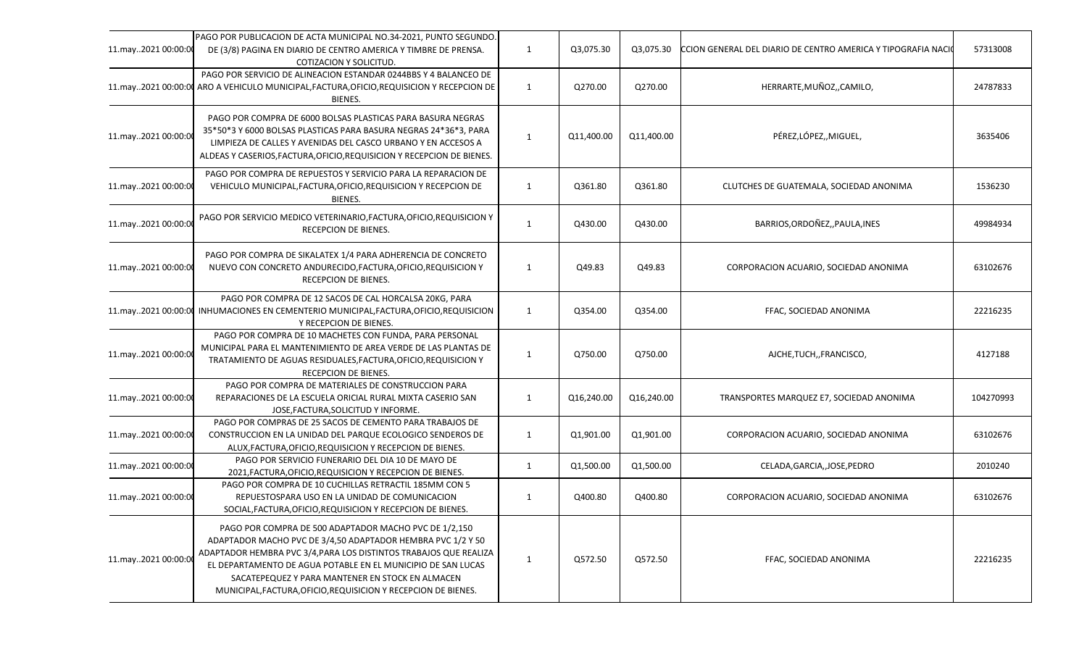| 11.may2021 00:00:00 | PAGO POR PUBLICACION DE ACTA MUNICIPAL NO.34-2021, PUNTO SEGUNDO.<br>DE (3/8) PAGINA EN DIARIO DE CENTRO AMERICA Y TIMBRE DE PRENSA.<br>COTIZACION Y SOLICITUD.                                                                                                                                                                                                                 | 1            | Q3,075.30  | Q3,075.30  | CCION GENERAL DEL DIARIO DE CENTRO AMERICA Y TIPOGRAFIA NACI | 57313008  |
|---------------------|---------------------------------------------------------------------------------------------------------------------------------------------------------------------------------------------------------------------------------------------------------------------------------------------------------------------------------------------------------------------------------|--------------|------------|------------|--------------------------------------------------------------|-----------|
|                     | PAGO POR SERVICIO DE ALINEACION ESTANDAR 0244BBS Y 4 BALANCEO DE<br>11.may2021 00:00:00 ARO A VEHICULO MUNICIPAL, FACTURA, OFICIO, REQUISICION Y RECEPCION DE<br>BIENES.                                                                                                                                                                                                        | $\mathbf{1}$ | Q270.00    | Q270.00    | HERRARTE, MUÑOZ,, CAMILO,                                    | 24787833  |
| 11.may2021 00:00:00 | PAGO POR COMPRA DE 6000 BOLSAS PLASTICAS PARA BASURA NEGRAS<br>35*50*3 Y 6000 BOLSAS PLASTICAS PARA BASURA NEGRAS 24*36*3, PARA<br>LIMPIEZA DE CALLES Y AVENIDAS DEL CASCO URBANO Y EN ACCESOS A<br>ALDEAS Y CASERIOS, FACTURA, OFICIO, REQUISICION Y RECEPCION DE BIENES.                                                                                                      | 1            | Q11,400.00 | Q11,400.00 | PÉREZ,LÓPEZ,,MIGUEL,                                         | 3635406   |
| 11.may2021 00:00:00 | PAGO POR COMPRA DE REPUESTOS Y SERVICIO PARA LA REPARACION DE<br>VEHICULO MUNICIPAL, FACTURA, OFICIO, REQUISICION Y RECEPCION DE<br>BIENES.                                                                                                                                                                                                                                     | 1            | Q361.80    | Q361.80    | CLUTCHES DE GUATEMALA, SOCIEDAD ANONIMA                      | 1536230   |
| 11.may2021 00:00:00 | PAGO POR SERVICIO MEDICO VETERINARIO, FACTURA, OFICIO, REQUISICION Y<br>RECEPCION DE BIENES.                                                                                                                                                                                                                                                                                    | 1            | Q430.00    | Q430.00    | BARRIOS, ORDOÑEZ, , PAULA, INES                              | 49984934  |
| 11.may2021 00:00:00 | PAGO POR COMPRA DE SIKALATEX 1/4 PARA ADHERENCIA DE CONCRETO<br>NUEVO CON CONCRETO ANDURECIDO, FACTURA, OFICIO, REQUISICION Y<br><b>RECEPCION DE BIENES.</b>                                                                                                                                                                                                                    | 1            | Q49.83     | Q49.83     | CORPORACION ACUARIO, SOCIEDAD ANONIMA                        | 63102676  |
|                     | PAGO POR COMPRA DE 12 SACOS DE CAL HORCALSA 20KG, PARA<br>11.may2021 00:00:00 INHUMACIONES EN CEMENTERIO MUNICIPAL, FACTURA, OFICIO, REQUISICION<br>Y RECEPCION DE BIENES.                                                                                                                                                                                                      | 1            | Q354.00    | Q354.00    | FFAC, SOCIEDAD ANONIMA                                       | 22216235  |
| 11.may2021 00:00:00 | PAGO POR COMPRA DE 10 MACHETES CON FUNDA, PARA PERSONAL<br>MUNICIPAL PARA EL MANTENIMIENTO DE AREA VERDE DE LAS PLANTAS DE<br>TRATAMIENTO DE AGUAS RESIDUALES, FACTURA, OFICIO, REQUISICION Y<br>RECEPCION DE BIENES.                                                                                                                                                           | 1            | Q750.00    | Q750.00    | AJCHE, TUCH, , FRANCISCO,                                    | 4127188   |
| 11.may2021 00:00:00 | PAGO POR COMPRA DE MATERIALES DE CONSTRUCCION PARA<br>REPARACIONES DE LA ESCUELA ORICIAL RURAL MIXTA CASERIO SAN<br>JOSE, FACTURA, SOLICITUD Y INFORME.                                                                                                                                                                                                                         | $\mathbf{1}$ | Q16,240.00 | Q16,240.00 | TRANSPORTES MARQUEZ E7, SOCIEDAD ANONIMA                     | 104270993 |
| 11.may2021 00:00:00 | PAGO POR COMPRAS DE 25 SACOS DE CEMENTO PARA TRABAJOS DE<br>CONSTRUCCION EN LA UNIDAD DEL PARQUE ECOLOGICO SENDEROS DE<br>ALUX, FACTURA, OFICIO, REQUISICION Y RECEPCION DE BIENES.                                                                                                                                                                                             | 1            | Q1,901.00  | Q1,901.00  | CORPORACION ACUARIO, SOCIEDAD ANONIMA                        | 63102676  |
| 11.may2021 00:00:00 | PAGO POR SERVICIO FUNERARIO DEL DIA 10 DE MAYO DE<br>2021, FACTURA, OFICIO, REQUISICION Y RECEPCION DE BIENES.                                                                                                                                                                                                                                                                  | 1            | Q1,500.00  | Q1,500.00  | CELADA, GARCIA, , JOSE, PEDRO                                | 2010240   |
| 11.may2021 00:00:00 | PAGO POR COMPRA DE 10 CUCHILLAS RETRACTIL 185MM CON 5<br>REPUESTOSPARA USO EN LA UNIDAD DE COMUNICACION<br>SOCIAL, FACTURA, OFICIO, REQUISICION Y RECEPCION DE BIENES.                                                                                                                                                                                                          | 1            | Q400.80    | Q400.80    | CORPORACION ACUARIO, SOCIEDAD ANONIMA                        | 63102676  |
| 11.may2021 00:00:00 | PAGO POR COMPRA DE 500 ADAPTADOR MACHO PVC DE 1/2,150<br>ADAPTADOR MACHO PVC DE 3/4,50 ADAPTADOR HEMBRA PVC 1/2 Y 50<br>ADAPTADOR HEMBRA PVC 3/4, PARA LOS DISTINTOS TRABAJOS QUE REALIZA<br>EL DEPARTAMENTO DE AGUA POTABLE EN EL MUNICIPIO DE SAN LUCAS<br>SACATEPEQUEZ Y PARA MANTENER EN STOCK EN ALMACEN<br>MUNICIPAL, FACTURA, OFICIO, REQUISICION Y RECEPCION DE BIENES. | 1            | Q572.50    | Q572.50    | FFAC, SOCIEDAD ANONIMA                                       | 22216235  |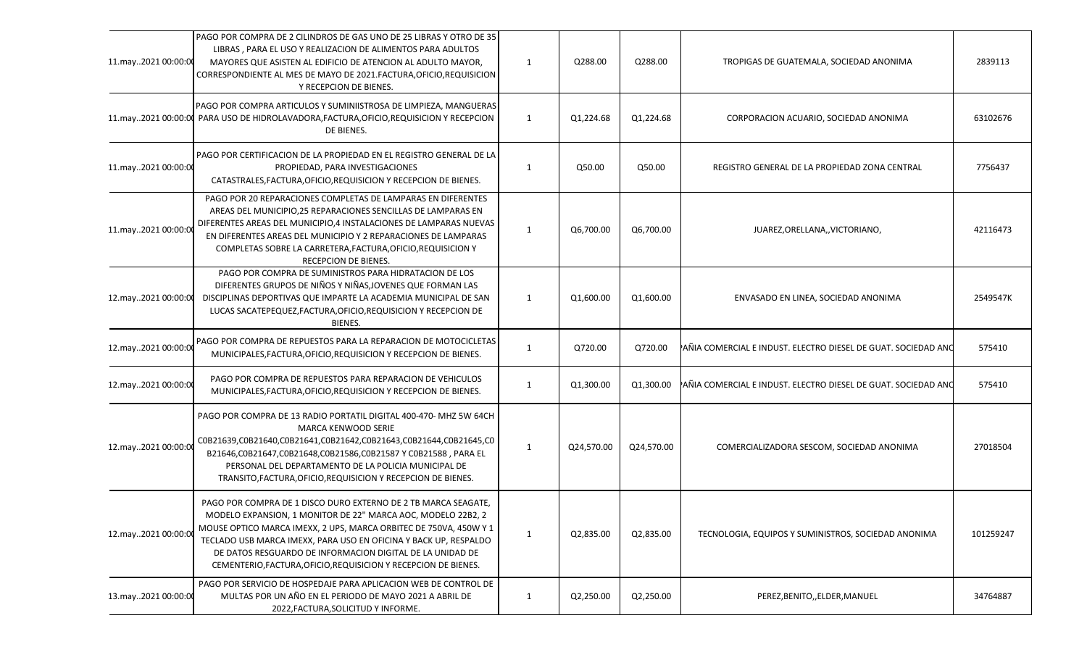| 13.may2021 00:00:00 | PAGO POR SERVICIO DE HOSPEDAJE PARA APLICACION WEB DE CONTROL DE<br>MULTAS POR UN AÑO EN EL PERIODO DE MAYO 2021 A ABRIL DE<br>2022, FACTURA, SOLICITUD Y INFORME.                                                                                                                                                                                                                                      | 1            | Q2,250.00  | Q2,250.00  | PEREZ, BENITO, , ELDER, MANUEL                                | 34764887  |
|---------------------|---------------------------------------------------------------------------------------------------------------------------------------------------------------------------------------------------------------------------------------------------------------------------------------------------------------------------------------------------------------------------------------------------------|--------------|------------|------------|---------------------------------------------------------------|-----------|
| 12.may2021 00:00:0  | PAGO POR COMPRA DE 1 DISCO DURO EXTERNO DE 2 TB MARCA SEAGATE,<br>MODELO EXPANSION, 1 MONITOR DE 22" MARCA AOC, MODELO 22B2, 2<br>MOUSE OPTICO MARCA IMEXX, 2 UPS, MARCA ORBITEC DE 750VA, 450W Y 1<br>TECLADO USB MARCA IMEXX, PARA USO EN OFICINA Y BACK UP, RESPALDO<br>DE DATOS RESGUARDO DE INFORMACION DIGITAL DE LA UNIDAD DE<br>CEMENTERIO, FACTURA, OFICIO, REQUISICION Y RECEPCION DE BIENES. | 1            | Q2,835.00  | Q2,835.00  | TECNOLOGIA, EQUIPOS Y SUMINISTROS, SOCIEDAD ANONIMA           | 101259247 |
| 12.may2021 00:00:0  | PAGO POR COMPRA DE 13 RADIO PORTATIL DIGITAL 400-470- MHZ 5W 64CH<br>MARCA KENWOOD SERIE<br>C0B21639,C0B21640,C0B21641,C0B21642,C0B21643,C0B21644,C0B21645,C0<br>B21646,C0B21647,C0B21648,C0B21586,C0B21587 Y C0B21588, PARA EL<br>PERSONAL DEL DEPARTAMENTO DE LA POLICIA MUNICIPAL DE<br>TRANSITO, FACTURA, OFICIO, REQUISICION Y RECEPCION DE BIENES.                                                | 1            | Q24,570.00 | Q24,570.00 | COMERCIALIZADORA SESCOM, SOCIEDAD ANONIMA                     | 27018504  |
| 12.may2021 00:00:00 | PAGO POR COMPRA DE REPUESTOS PARA REPARACION DE VEHICULOS<br>MUNICIPALES, FACTURA, OFICIO, REQUISICION Y RECEPCION DE BIENES.                                                                                                                                                                                                                                                                           | 1            | Q1,300.00  | Q1,300.00  | AÑIA COMERCIAL E INDUST. ELECTRO DIESEL DE GUAT. SOCIEDAD ANO | 575410    |
| 12.may2021 00:00:00 | PAGO POR COMPRA DE REPUESTOS PARA LA REPARACION DE MOTOCICLETAS<br>MUNICIPALES, FACTURA, OFICIO, REQUISICION Y RECEPCION DE BIENES.                                                                                                                                                                                                                                                                     | 1            | Q720.00    | Q720.00    | AÑIA COMERCIAL E INDUST. ELECTRO DIESEL DE GUAT. SOCIEDAD ANO | 575410    |
| 12.may2021 00:00:00 | PAGO POR COMPRA DE SUMINISTROS PARA HIDRATACION DE LOS<br>DIFERENTES GRUPOS DE NIÑOS Y NIÑAS, JOVENES QUE FORMAN LAS<br>DISCIPLINAS DEPORTIVAS QUE IMPARTE LA ACADEMIA MUNICIPAL DE SAN<br>LUCAS SACATEPEQUEZ, FACTURA, OFICIO, REQUISICION Y RECEPCION DE<br>BIENES.                                                                                                                                   | $\mathbf{1}$ | Q1,600.00  | Q1,600.00  | ENVASADO EN LINEA, SOCIEDAD ANONIMA                           | 2549547K  |
| 11.may2021 00:00:00 | PAGO POR 20 REPARACIONES COMPLETAS DE LAMPARAS EN DIFERENTES<br>AREAS DEL MUNICIPIO, 25 REPARACIONES SENCILLAS DE LAMPARAS EN<br>DIFERENTES AREAS DEL MUNICIPIO,4 INSTALACIONES DE LAMPARAS NUEVAS<br>EN DIFERENTES AREAS DEL MUNICIPIO Y 2 REPARACIONES DE LAMPARAS<br>COMPLETAS SOBRE LA CARRETERA, FACTURA, OFICIO, REQUISICION Y<br>RECEPCION DE BIENES.                                            | 1            | Q6,700.00  | Q6,700.00  | JUAREZ, ORELLANA,, VICTORIANO,                                | 42116473  |
| 11.may2021 00:00:00 | PAGO POR CERTIFICACION DE LA PROPIEDAD EN EL REGISTRO GENERAL DE LA<br>PROPIEDAD, PARA INVESTIGACIONES<br>CATASTRALES, FACTURA, OFICIO, REQUISICION Y RECEPCION DE BIENES.                                                                                                                                                                                                                              | 1            | Q50.00     | Q50.00     | REGISTRO GENERAL DE LA PROPIEDAD ZONA CENTRAL                 | 7756437   |
|                     | PAGO POR COMPRA ARTICULOS Y SUMINIISTROSA DE LIMPIEZA, MANGUERAS<br>11.may2021 00:00:00 PARA USO DE HIDROLAVADORA, FACTURA, OFICIO, REQUISICION Y RECEPCION<br>DE BIENES.                                                                                                                                                                                                                               | 1            | Q1,224.68  | Q1,224.68  | CORPORACION ACUARIO, SOCIEDAD ANONIMA                         | 63102676  |
| 11.may2021 00:00:00 | PAGO POR COMPRA DE 2 CILINDROS DE GAS UNO DE 25 LIBRAS Y OTRO DE 35<br>LIBRAS, PARA EL USO Y REALIZACION DE ALIMENTOS PARA ADULTOS<br>MAYORES QUE ASISTEN AL EDIFICIO DE ATENCION AL ADULTO MAYOR,<br>CORRESPONDIENTE AL MES DE MAYO DE 2021.FACTURA, OFICIO, REQUISICION<br>Y RECEPCION DE BIENES.                                                                                                     | 1            | Q288.00    | Q288.00    | TROPIGAS DE GUATEMALA, SOCIEDAD ANONIMA                       | 2839113   |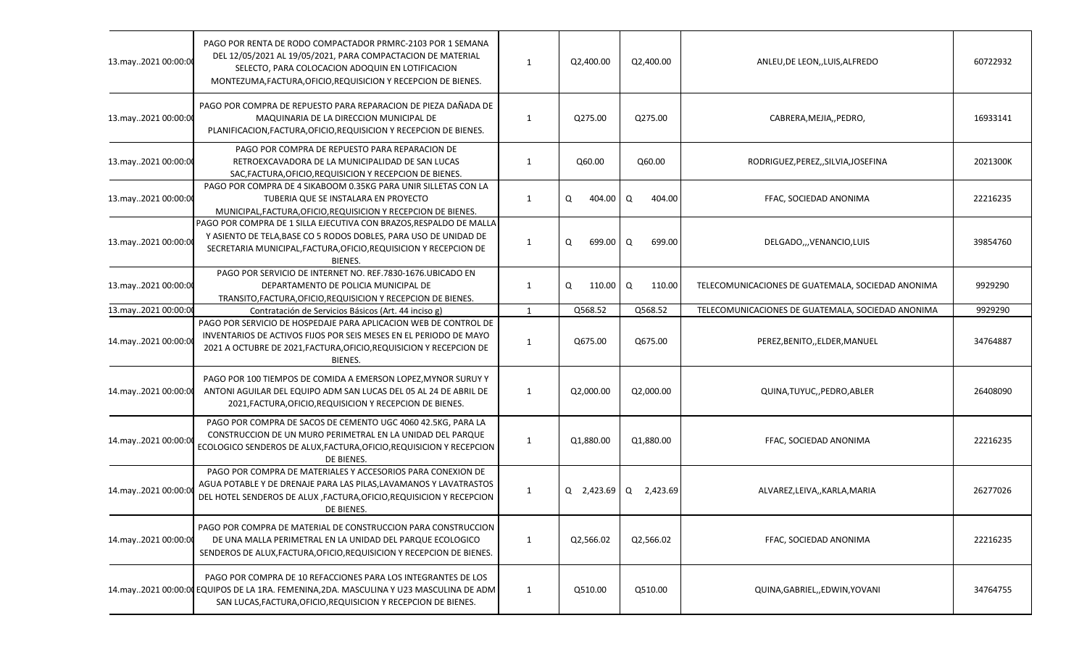| 13.may2021 00:00:00 | PAGO POR RENTA DE RODO COMPACTADOR PRMRC-2103 POR 1 SEMANA<br>DEL 12/05/2021 AL 19/05/2021, PARA COMPACTACION DE MATERIAL<br>SELECTO, PARA COLOCACION ADOQUIN EN LOTIFICACION<br>MONTEZUMA, FACTURA, OFICIO, REQUISICION Y RECEPCION DE BIENES. | 1            | Q2,400.00   | Q2,400.00             | ANLEU, DE LEON, , LUIS, ALFREDO                   | 60722932 |
|---------------------|-------------------------------------------------------------------------------------------------------------------------------------------------------------------------------------------------------------------------------------------------|--------------|-------------|-----------------------|---------------------------------------------------|----------|
| 13.may2021 00:00:00 | PAGO POR COMPRA DE REPUESTO PARA REPARACION DE PIEZA DAÑADA DE<br>MAQUINARIA DE LA DIRECCION MUNICIPAL DE<br>PLANIFICACION, FACTURA, OFICIO, REQUISICION Y RECEPCION DE BIENES.                                                                 | 1            | Q275.00     | Q275.00               | CABRERA, MEJIA,, PEDRO,                           | 16933141 |
| 13.may2021 00:00:00 | PAGO POR COMPRA DE REPUESTO PARA REPARACION DE<br>RETROEXCAVADORA DE LA MUNICIPALIDAD DE SAN LUCAS<br>SAC, FACTURA, OFICIO, REQUISICION Y RECEPCION DE BIENES.                                                                                  | 1            | Q60.00      | Q60.00                | RODRIGUEZ, PEREZ,, SILVIA, JOSEFINA               | 2021300K |
| 13.may2021 00:00:00 | PAGO POR COMPRA DE 4 SIKABOOM 0.35KG PARA UNIR SILLETAS CON LA<br>TUBERIA QUE SE INSTALARA EN PROYECTO<br>MUNICIPAL, FACTURA, OFICIO, REQUISICION Y RECEPCION DE BIENES.                                                                        | 1            | Q<br>404.00 | Q<br>404.00           | FFAC, SOCIEDAD ANONIMA                            | 22216235 |
| 13.may2021 00:00:00 | PAGO POR COMPRA DE 1 SILLA EJECUTIVA CON BRAZOS, RESPALDO DE MALLA<br>Y ASIENTO DE TELA, BASE CO 5 RODOS DOBLES, PARA USO DE UNIDAD DE<br>SECRETARIA MUNICIPAL, FACTURA, OFICIO, REQUISICION Y RECEPCION DE<br><b>BIENES.</b>                   | 1            | Q<br>699.00 | Q<br>699.00           | DELGADO,,, VENANCIO, LUIS                         | 39854760 |
| 13.may2021 00:00:00 | PAGO POR SERVICIO DE INTERNET NO. REF.7830-1676.UBICADO EN<br>DEPARTAMENTO DE POLICIA MUNICIPAL DE<br>TRANSITO, FACTURA, OFICIO, REQUISICION Y RECEPCION DE BIENES.                                                                             | 1            | Q<br>110.00 | Q<br>110.00           | TELECOMUNICACIONES DE GUATEMALA, SOCIEDAD ANONIMA | 9929290  |
| 13.may2021 00:00:00 | Contratación de Servicios Básicos (Art. 44 inciso g)                                                                                                                                                                                            | $\mathbf{1}$ | Q568.52     | Q568.52               | TELECOMUNICACIONES DE GUATEMALA, SOCIEDAD ANONIMA | 9929290  |
| 14.may2021 00:00:00 | PAGO POR SERVICIO DE HOSPEDAJE PARA APLICACION WEB DE CONTROL DE<br>INVENTARIOS DE ACTIVOS FIJOS POR SEIS MESES EN EL PERIODO DE MAYO<br>2021 A OCTUBRE DE 2021, FACTURA, OFICIO, REQUISICION Y RECEPCION DE<br><b>BIENES.</b>                  | 1            | Q675.00     | Q675.00               | PEREZ, BENITO, , ELDER, MANUEL                    | 34764887 |
| 14.may2021 00:00:00 | PAGO POR 100 TIEMPOS DE COMIDA A EMERSON LOPEZ, MYNOR SURUY Y<br>ANTONI AGUILAR DEL EQUIPO ADM SAN LUCAS DEL 05 AL 24 DE ABRIL DE<br>2021, FACTURA, OFICIO, REQUISICION Y RECEPCION DE BIENES.                                                  | $\mathbf{1}$ | Q2,000.00   | Q2,000.00             | QUINA, TUYUC, , PEDRO, ABLER                      | 26408090 |
| 14.may2021 00:00:0  | PAGO POR COMPRA DE SACOS DE CEMENTO UGC 4060 42.5KG, PARA LA<br>CONSTRUCCION DE UN MURO PERIMETRAL EN LA UNIDAD DEL PARQUE<br>ECOLOGICO SENDEROS DE ALUX, FACTURA, OFICIO, REQUISICION Y RECEPCION<br>DE BIENES.                                | 1            | Q1,880.00   | Q1,880.00             | FFAC, SOCIEDAD ANONIMA                            | 22216235 |
| 14.may2021 00:00:0  | PAGO POR COMPRA DE MATERIALES Y ACCESORIOS PARA CONEXION DE<br>AGUA POTABLE Y DE DRENAJE PARA LAS PILAS, LAVAMANOS Y LAVATRASTOS<br>DEL HOTEL SENDEROS DE ALUX , FACTURA, OFICIO, REQUISICION Y RECEPCION<br>DE BIENES.                         | 1            |             | Q 2,423.69 Q 2,423.69 | ALVAREZ,LEIVA,,KARLA,MARIA                        | 26277026 |
| 14.may2021 00:00:00 | PAGO POR COMPRA DE MATERIAL DE CONSTRUCCION PARA CONSTRUCCION<br>DE UNA MALLA PERIMETRAL EN LA UNIDAD DEL PARQUE ECOLOGICO<br>SENDEROS DE ALUX, FACTURA, OFICIO, REQUISICION Y RECEPCION DE BIENES.                                             | $\mathbf{1}$ | Q2,566.02   | Q2,566.02             | FFAC, SOCIEDAD ANONIMA                            | 22216235 |
|                     | PAGO POR COMPRA DE 10 REFACCIONES PARA LOS INTEGRANTES DE LOS<br>14.may2021 00:00:00 EQUIPOS DE LA 1RA. FEMENINA,2DA. MASCULINA Y U23 MASCULINA DE ADM<br>SAN LUCAS, FACTURA, OFICIO, REQUISICION Y RECEPCION DE BIENES.                        | 1            | Q510.00     | Q510.00               | QUINA, GABRIEL, , EDWIN, YOVANI                   | 34764755 |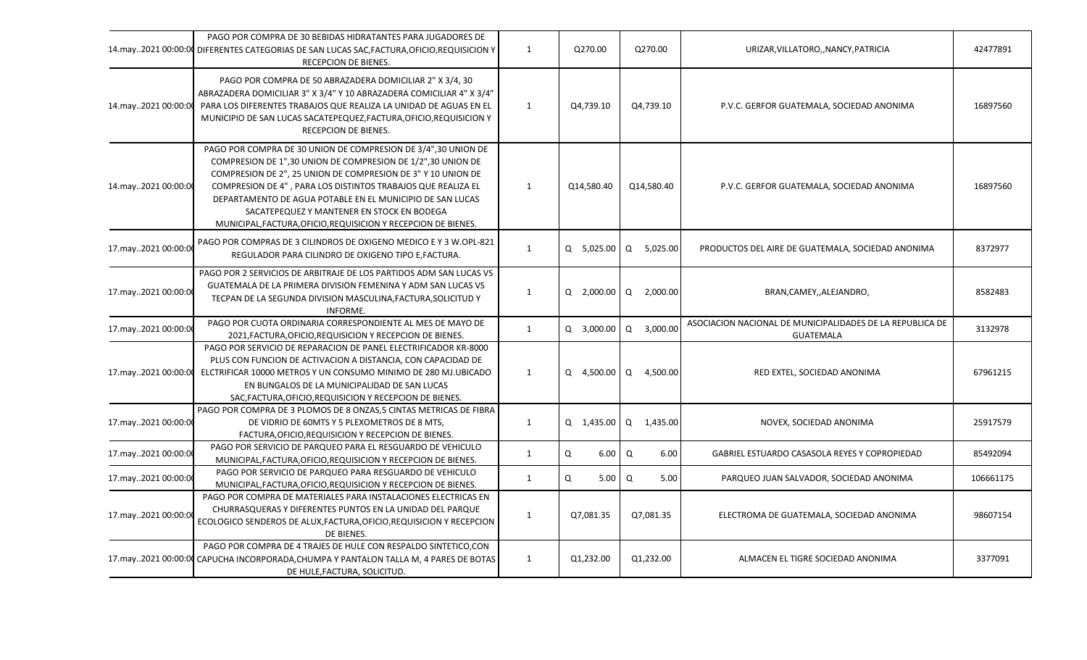|                     | PAGO POR COMPRA DE 30 BEBIDAS HIDRATANTES PARA JUGADORES DE<br>14.may2021 00:00:00 DIFERENTES CATEGORIAS DE SAN LUCAS SAC, FACTURA, OFICIO, REQUISICION Y<br>RECEPCION DE BIENES.                                                                                                                                                                                                                                                         | $\mathbf{1}$ | Q270.00      | Q270.00       | URIZAR, VILLATORO,, NANCY, PATRICIA                                           | 42477891  |
|---------------------|-------------------------------------------------------------------------------------------------------------------------------------------------------------------------------------------------------------------------------------------------------------------------------------------------------------------------------------------------------------------------------------------------------------------------------------------|--------------|--------------|---------------|-------------------------------------------------------------------------------|-----------|
| 14.may2021 00:00:00 | PAGO POR COMPRA DE 50 ABRAZADERA DOMICILIAR 2" X 3/4, 30<br>ABRAZADERA DOMICILIAR 3" X 3/4" Y 10 ABRAZADERA COMICILIAR 4" X 3/4"<br>PARA LOS DIFERENTES TRABAJOS QUE REALIZA LA UNIDAD DE AGUAS EN EL<br>MUNICIPIO DE SAN LUCAS SACATEPEQUEZ, FACTURA, OFICIO, REQUISICION Y<br>RECEPCION DE BIENES.                                                                                                                                      | 1            | Q4,739.10    | Q4,739.10     | P.V.C. GERFOR GUATEMALA, SOCIEDAD ANONIMA                                     | 16897560  |
| 14.may2021 00:00:00 | PAGO POR COMPRA DE 30 UNION DE COMPRESION DE 3/4",30 UNION DE<br>COMPRESION DE 1",30 UNION DE COMPRESION DE 1/2",30 UNION DE<br>COMPRESION DE 2", 25 UNION DE COMPRESION DE 3" Y 10 UNION DE<br>COMPRESION DE 4", PARA LOS DISTINTOS TRABAJOS QUE REALIZA EL<br>DEPARTAMENTO DE AGUA POTABLE EN EL MUNICIPIO DE SAN LUCAS<br>SACATEPEQUEZ Y MANTENER EN STOCK EN BODEGA<br>MUNICIPAL, FACTURA, OFICIO, REQUISICION Y RECEPCION DE BIENES. | $\mathbf{1}$ | Q14,580.40   | Q14,580.40    | P.V.C. GERFOR GUATEMALA, SOCIEDAD ANONIMA                                     | 16897560  |
| 17.may2021 00:00:0  | PAGO POR COMPRAS DE 3 CILINDROS DE OXIGENO MEDICO E Y 3 W.OPL-821<br>REGULADOR PARA CILINDRO DE OXIGENO TIPO E, FACTURA.                                                                                                                                                                                                                                                                                                                  | $\mathbf{1}$ | Q 5,025.00   | Q<br>5,025.00 | PRODUCTOS DEL AIRE DE GUATEMALA, SOCIEDAD ANONIMA                             | 8372977   |
| 17.may2021 00:00:00 | PAGO POR 2 SERVICIOS DE ARBITRAJE DE LOS PARTIDOS ADM SAN LUCAS VS<br>GUATEMALA DE LA PRIMERA DIVISION FEMENINA Y ADM SAN LUCAS VS<br>TECPAN DE LA SEGUNDA DIVISION MASCULINA, FACTURA, SOLICITUD Y<br>INFORME.                                                                                                                                                                                                                           | $\mathbf{1}$ | Q 2,000.00   | Q<br>2,000.00 | BRAN, CAMEY, , ALEJANDRO,                                                     | 8582483   |
| 17.may2021 00:00:00 | PAGO POR CUOTA ORDINARIA CORRESPONDIENTE AL MES DE MAYO DE<br>2021, FACTURA, OFICIO, REQUISICION Y RECEPCION DE BIENES.                                                                                                                                                                                                                                                                                                                   | $\mathbf{1}$ | Q 3,000.00   | Q<br>3,000.00 | ASOCIACION NACIONAL DE MUNICIPALIDADES DE LA REPUBLICA DE<br><b>GUATEMALA</b> | 3132978   |
| 17.may2021 00:00:00 | PAGO POR SERVICIO DE REPARACION DE PANEL ELECTRIFICADOR KR-8000<br>PLUS CON FUNCION DE ACTIVACION A DISTANCIA, CON CAPACIDAD DE<br>ELCTRIFICAR 10000 METROS Y UN CONSUMO MINIMO DE 280 MJ.UBICADO<br>EN BUNGALOS DE LA MUNICIPALIDAD DE SAN LUCAS<br>SAC, FACTURA, OFICIO, REQUISICION Y RECEPCION DE BIENES.                                                                                                                             | 1            | Q 4,500.00   | Q<br>4,500.00 | RED EXTEL, SOCIEDAD ANONIMA                                                   | 67961215  |
| 17.may2021 00:00:00 | PAGO POR COMPRA DE 3 PLOMOS DE 8 ONZAS,5 CINTAS METRICAS DE FIBRA<br>DE VIDRIO DE 60MTS Y 5 PLEXOMETROS DE 8 MTS,<br>FACTURA, OFICIO, REQUISICION Y RECEPCION DE BIENES.                                                                                                                                                                                                                                                                  | $\mathbf{1}$ | $Q$ 1,435.00 | Q 1,435.00    | NOVEX, SOCIEDAD ANONIMA                                                       | 25917579  |
| 17.may2021 00:00:00 | PAGO POR SERVICIO DE PARQUEO PARA EL RESGUARDO DE VEHICULO<br>MUNICIPAL, FACTURA, OFICIO, REQUISICION Y RECEPCION DE BIENES.                                                                                                                                                                                                                                                                                                              | $\mathbf{1}$ | Q<br>6.00    | Q<br>6.00     | GABRIEL ESTUARDO CASASOLA REYES Y COPROPIEDAD                                 | 85492094  |
| 17.may2021 00:00:00 | PAGO POR SERVICIO DE PARQUEO PARA RESGUARDO DE VEHICULO<br>MUNICIPAL, FACTURA, OFICIO, REQUISICION Y RECEPCION DE BIENES.                                                                                                                                                                                                                                                                                                                 | 1            | Q<br>5.00    | Q<br>5.00     | PARQUEO JUAN SALVADOR, SOCIEDAD ANONIMA                                       | 106661175 |
| 17.may2021 00:00:00 | PAGO POR COMPRA DE MATERIALES PARA INSTALACIONES ELECTRICAS EN<br>CHURRASQUERAS Y DIFERENTES PUNTOS EN LA UNIDAD DEL PARQUE<br>ECOLOGICO SENDEROS DE ALUX, FACTURA, OFICIO, REQUISICION Y RECEPCION<br>DE BIENES.                                                                                                                                                                                                                         | 1            | Q7,081.35    | Q7,081.35     | ELECTROMA DE GUATEMALA, SOCIEDAD ANONIMA                                      | 98607154  |
| 17.may2021 00:00:00 | PAGO POR COMPRA DE 4 TRAJES DE HULE CON RESPALDO SINTETICO, CON<br>CAPUCHA INCORPORADA, CHUMPA Y PANTALON TALLA M, 4 PARES DE BOTAS<br>DE HULE, FACTURA, SOLICITUD.                                                                                                                                                                                                                                                                       | 1            | Q1,232.00    | Q1,232.00     | ALMACEN EL TIGRE SOCIEDAD ANONIMA                                             | 3377091   |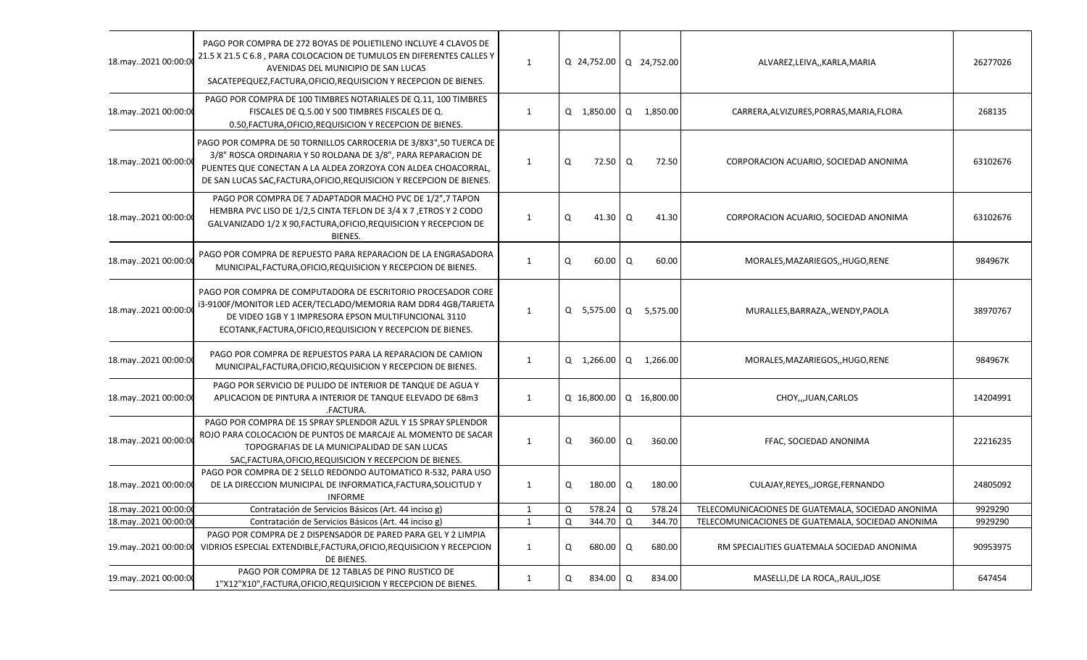| 18.may2021 00:00:0  | PAGO POR COMPRA DE 272 BOYAS DE POLIETILENO INCLUYE 4 CLAVOS DE<br>21.5 X 21.5 C 6.8, PARA COLOCACION DE TUMULOS EN DIFERENTES CALLES Y<br>AVENIDAS DEL MUNICIPIO DE SAN LUCAS<br>SACATEPEQUEZ, FACTURA, OFICIO, REQUISICION Y RECEPCION DE BIENES.                           | $\mathbf{1}$ |          | Q 24,752.00   Q 24,752.00 |                |             | ALVAREZ, LEIVA, , KARLA, MARIA                    | 26277026 |
|---------------------|-------------------------------------------------------------------------------------------------------------------------------------------------------------------------------------------------------------------------------------------------------------------------------|--------------|----------|---------------------------|----------------|-------------|---------------------------------------------------|----------|
| 18.may2021 00:00:0  | PAGO POR COMPRA DE 100 TIMBRES NOTARIALES DE Q.11, 100 TIMBRES<br>FISCALES DE Q.5.00 Y 500 TIMBRES FISCALES DE Q.<br>0.50, FACTURA, OFICIO, REQUISICION Y RECEPCION DE BIENES.                                                                                                | $\mathbf{1}$ |          | Q 1,850.00                |                | Q 1,850.00  | CARRERA, ALVIZURES, PORRAS, MARIA, FLORA          | 268135   |
| 18.may2021 00:00:0  | PAGO POR COMPRA DE 50 TORNILLOS CARROCERIA DE 3/8X3", 50 TUERCA DE<br>3/8" ROSCA ORDINARIA Y 50 ROLDANA DE 3/8", PARA REPARACION DE<br>PUENTES QUE CONECTAN A LA ALDEA ZORZOYA CON ALDEA CHOACORRAL,<br>DE SAN LUCAS SAC, FACTURA, OFICIO, REQUISICION Y RECEPCION DE BIENES. | $\mathbf{1}$ | Q        | $72.50$ Q                 |                | 72.50       | CORPORACION ACUARIO, SOCIEDAD ANONIMA             | 63102676 |
| 18.may2021 00:00:0  | PAGO POR COMPRA DE 7 ADAPTADOR MACHO PVC DE 1/2", 7 TAPON<br>HEMBRA PVC LISO DE 1/2,5 CINTA TEFLON DE 3/4 X 7, ETROS Y 2 CODO<br>GALVANIZADO 1/2 X 90, FACTURA, OFICIO, REQUISICION Y RECEPCION DE<br>BIENES.                                                                 | $\mathbf{1}$ | Q        | $41.30 \mid Q$            |                | 41.30       | CORPORACION ACUARIO, SOCIEDAD ANONIMA             | 63102676 |
| 18.may2021 00:00:0  | PAGO POR COMPRA DE REPUESTO PARA REPARACION DE LA ENGRASADORA<br>MUNICIPAL, FACTURA, OFICIO, REQUISICION Y RECEPCION DE BIENES.                                                                                                                                               | $\mathbf{1}$ | Q        | $60.00 \quad Q$           |                | 60.00       | MORALES, MAZARIEGOS, , HUGO, RENE                 | 984967K  |
| 18.may2021 00:00:00 | PAGO POR COMPRA DE COMPUTADORA DE ESCRITORIO PROCESADOR CORE<br>i3-9100F/MONITOR LED ACER/TECLADO/MEMORIA RAM DDR4 4GB/TARJETA<br>DE VIDEO 1GB Y 1 IMPRESORA EPSON MULTIFUNCIONAL 3110<br>ECOTANK, FACTURA, OFICIO, REQUISICION Y RECEPCION DE BIENES.                        | $\mathbf{1}$ |          | Q 5,575.00 Q 5,575.00     |                |             | MURALLES, BARRAZA,, WENDY, PAOLA                  | 38970767 |
| 18.may2021 00:00:00 | PAGO POR COMPRA DE REPUESTOS PARA LA REPARACION DE CAMION<br>MUNICIPAL, FACTURA, OFICIO, REQUISICION Y RECEPCION DE BIENES.                                                                                                                                                   | $\mathbf{1}$ |          | Q 1,266.00                | $\Omega$       | 1,266.00    | MORALES, MAZARIEGOS, , HUGO, RENE                 | 984967K  |
| 18.may2021 00:00:00 | PAGO POR SERVICIO DE PULIDO DE INTERIOR DE TANQUE DE AGUA Y<br>APLICACION DE PINTURA A INTERIOR DE TANQUE ELEVADO DE 68m3<br>.FACTURA.                                                                                                                                        | $\mathbf{1}$ |          | Q 16,800.00               |                | Q 16,800.00 | CHOY,,,JUAN,CARLOS                                | 14204991 |
| 18.may2021 00:00:0  | PAGO POR COMPRA DE 15 SPRAY SPLENDOR AZUL Y 15 SPRAY SPLENDOR<br>ROJO PARA COLOCACION DE PUNTOS DE MARCAJE AL MOMENTO DE SACAR<br>TOPOGRAFIAS DE LA MUNICIPALIDAD DE SAN LUCAS<br>SAC, FACTURA, OFICIO, REQUISICION Y RECEPCION DE BIENES.                                    | $\mathbf{1}$ | $\Omega$ | 360.00                    | Q              | 360.00      | FFAC, SOCIEDAD ANONIMA                            | 22216235 |
| 18.may2021 00:00:00 | PAGO POR COMPRA DE 2 SELLO REDONDO AUTOMATICO R-532, PARA USO<br>DE LA DIRECCION MUNICIPAL DE INFORMATICA, FACTURA, SOLICITUD Y<br><b>INFORME</b>                                                                                                                             | 1            | Q        | 180.00                    | $\Omega$       | 180.00      | CULAJAY, REYES, , JORGE, FERNANDO                 | 24805092 |
| 18.may2021 00:00:00 | Contratación de Servicios Básicos (Art. 44 inciso g)                                                                                                                                                                                                                          | 1            | Q        | 578.24                    | $\Omega$       | 578.24      | TELECOMUNICACIONES DE GUATEMALA, SOCIEDAD ANONIMA | 9929290  |
| 18.may2021 00:00:00 | Contratación de Servicios Básicos (Art. 44 inciso g)                                                                                                                                                                                                                          | $\mathbf{1}$ | $\Omega$ | 344.70                    | $\overline{a}$ | 344.70      | TELECOMUNICACIONES DE GUATEMALA, SOCIEDAD ANONIMA | 9929290  |
| 19.may2021 00:00:00 | PAGO POR COMPRA DE 2 DISPENSADOR DE PARED PARA GEL Y 2 LIMPIA<br>VIDRIOS ESPECIAL EXTENDIBLE, FACTURA, OFICIO, REQUISICION Y RECEPCION<br>DE BIENES.                                                                                                                          | $\mathbf{1}$ | $\Omega$ | 680.00                    | $\mathsf Q$    | 680.00      | RM SPECIALITIES GUATEMALA SOCIEDAD ANONIMA        | 90953975 |
| 19.may2021 00:00:00 | PAGO POR COMPRA DE 12 TABLAS DE PINO RUSTICO DE<br>1"X12"X10", FACTURA, OFICIO, REQUISICION Y RECEPCION DE BIENES.                                                                                                                                                            | $\mathbf{1}$ | Q        | 834.00 Q                  |                | 834.00      | MASELLI, DE LA ROCA,, RAUL, JOSE                  | 647454   |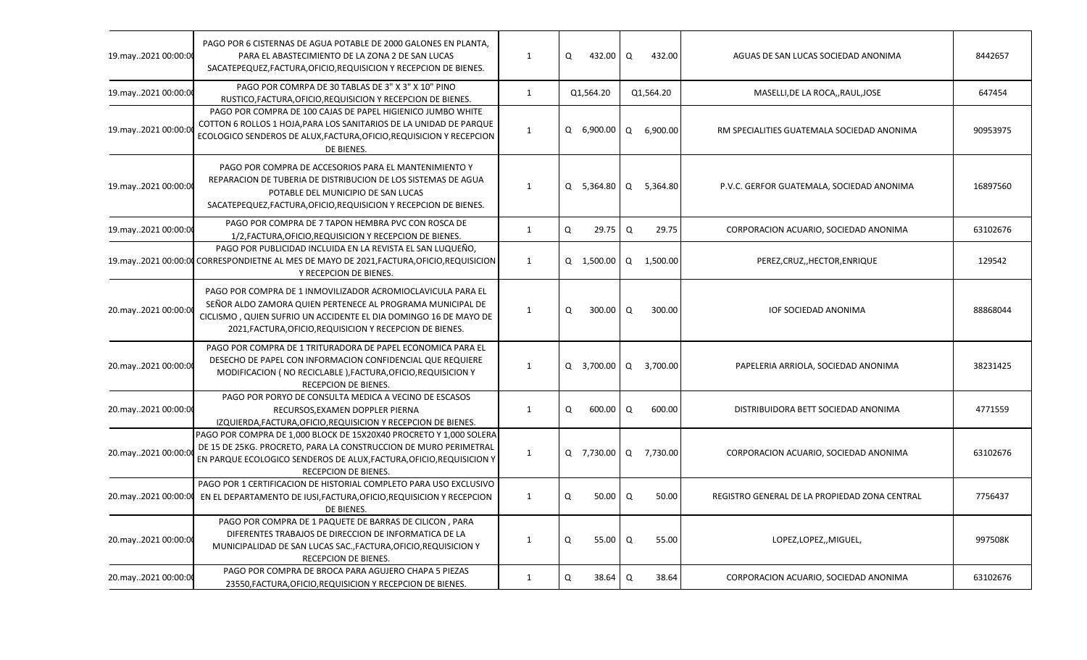| 19.may2021 00:00:00 | PAGO POR 6 CISTERNAS DE AGUA POTABLE DE 2000 GALONES EN PLANTA,<br>PARA EL ABASTECIMIENTO DE LA ZONA 2 DE SAN LUCAS<br>SACATEPEQUEZ, FACTURA, OFICIO, REQUISICION Y RECEPCION DE BIENES.                                                                   | $\mathbf{1}$ | Q | 432.00 Q         |   | 432.00                | AGUAS DE SAN LUCAS SOCIEDAD ANONIMA           | 8442657  |
|---------------------|------------------------------------------------------------------------------------------------------------------------------------------------------------------------------------------------------------------------------------------------------------|--------------|---|------------------|---|-----------------------|-----------------------------------------------|----------|
| 19.may2021 00:00:00 | PAGO POR COMRPA DE 30 TABLAS DE 3" X 3" X 10" PINO<br>RUSTICO, FACTURA, OFICIO, REQUISICION Y RECEPCION DE BIENES.                                                                                                                                         | $\mathbf{1}$ |   | Q1,564.20        |   | Q1,564.20             | MASELLI, DE LA ROCA,, RAUL, JOSE              | 647454   |
| 19.may2021 00:00:0  | PAGO POR COMPRA DE 100 CAJAS DE PAPEL HIGIENICO JUMBO WHITE<br>COTTON 6 ROLLOS 1 HOJA, PARA LOS SANITARIOS DE LA UNIDAD DE PARQUE<br>ECOLOGICO SENDEROS DE ALUX, FACTURA, OFICIO, REQUISICION Y RECEPCION<br>DE BIENES.                                    | $\mathbf{1}$ |   |                  |   | Q 6,900.00 Q 6,900.00 | RM SPECIALITIES GUATEMALA SOCIEDAD ANONIMA    | 90953975 |
| 19.may2021 00:00:0  | PAGO POR COMPRA DE ACCESORIOS PARA EL MANTENIMIENTO Y<br>REPARACION DE TUBERIA DE DISTRIBUCION DE LOS SISTEMAS DE AGUA<br>POTABLE DEL MUNICIPIO DE SAN LUCAS<br>SACATEPEQUEZ, FACTURA, OFICIO, REQUISICION Y RECEPCION DE BIENES.                          | $\mathbf{1}$ |   | $Q$ 5,364.80 $Q$ |   | 5,364.80              | P.V.C. GERFOR GUATEMALA, SOCIEDAD ANONIMA     | 16897560 |
| 19.may2021 00:00:00 | PAGO POR COMPRA DE 7 TAPON HEMBRA PVC CON ROSCA DE<br>1/2, FACTURA, OFICIO, REQUISICION Y RECEPCION DE BIENES.                                                                                                                                             | $\mathbf{1}$ | Q | 29.75            | Q | 29.75                 | CORPORACION ACUARIO, SOCIEDAD ANONIMA         | 63102676 |
| 19.may2021 00:00:00 | PAGO POR PUBLICIDAD INCLUIDA EN LA REVISTA EL SAN LUQUEÑO,<br>CORRESPONDIETNE AL MES DE MAYO DE 2021, FACTURA, OFICIO, REQUISICION<br>Y RECEPCION DE BIENES.                                                                                               | $\mathbf{1}$ |   |                  |   | Q 1,500.00 Q 1,500.00 | PEREZ, CRUZ, HECTOR, ENRIQUE                  | 129542   |
| 20.may2021 00:00:0  | PAGO POR COMPRA DE 1 INMOVILIZADOR ACROMIOCLAVICULA PARA EL<br>SEÑOR ALDO ZAMORA QUIEN PERTENECE AL PROGRAMA MUNICIPAL DE<br>CICLISMO, QUIEN SUFRIO UN ACCIDENTE EL DIA DOMINGO 16 DE MAYO DE<br>2021, FACTURA, OFICIO, REQUISICION Y RECEPCION DE BIENES. | 1            | Q | $300.00 \quad Q$ |   | 300.00                | IOF SOCIEDAD ANONIMA                          | 88868044 |
| 20.may2021 00:00:00 | PAGO POR COMPRA DE 1 TRITURADORA DE PAPEL ECONOMICA PARA EL<br>DESECHO DE PAPEL CON INFORMACION CONFIDENCIAL QUE REQUIERE<br>MODIFICACION ( NO RECICLABLE ), FACTURA, OFICIO, REQUISICION Y<br>RECEPCION DE BIENES.                                        | $\mathbf{1}$ |   | $Q$ 3,700.00 $Q$ |   | 3,700.00              | PAPELERIA ARRIOLA, SOCIEDAD ANONIMA           | 38231425 |
| 20.may2021 00:00:00 | PAGO POR PORYO DE CONSULTA MEDICA A VECINO DE ESCASOS<br>RECURSOS, EXAMEN DOPPLER PIERNA<br>IZQUIERDA, FACTURA, OFICIO, REQUISICION Y RECEPCION DE BIENES.                                                                                                 | $\mathbf{1}$ | Q | 600.00 Q         |   | 600.00                | DISTRIBUIDORA BETT SOCIEDAD ANONIMA           | 4771559  |
| 20.may2021 00:00:0  | PAGO POR COMPRA DE 1,000 BLOCK DE 15X20X40 PROCRETO Y 1,000 SOLERA<br>DE 15 DE 25KG. PROCRETO, PARA LA CONSTRUCCION DE MURO PERIMETRAL<br>EN PARQUE ECOLOGICO SENDEROS DE ALUX, FACTURA, OFICIO, REQUISICION Y<br>RECEPCION DE BIENES.                     | 1            |   | Q 7,730.00 Q     |   | 7,730.00              | CORPORACION ACUARIO, SOCIEDAD ANONIMA         | 63102676 |
| 20.may2021 00:00:00 | PAGO POR 1 CERTIFICACION DE HISTORIAL COMPLETO PARA USO EXCLUSIVO<br>EN EL DEPARTAMENTO DE IUSI, FACTURA, OFICIO, REQUISICION Y RECEPCION<br>DE BIENES.                                                                                                    | 1            | Q | 50.00            | Q | 50.00                 | REGISTRO GENERAL DE LA PROPIEDAD ZONA CENTRAL | 7756437  |
| 20.may2021 00:00:00 | PAGO POR COMPRA DE 1 PAQUETE DE BARRAS DE CILICON, PARA<br>DIFERENTES TRABAJOS DE DIRECCION DE INFORMATICA DE LA<br>MUNICIPALIDAD DE SAN LUCAS SAC., FACTURA, OFICIO, REQUISICION Y<br>RECEPCION DE BIENES.                                                | $\mathbf{1}$ | Q | $55.00$ $\alpha$ |   | 55.00                 | LOPEZ,LOPEZ,,MIGUEL,                          | 997508K  |
| 20.may2021 00:00:00 | PAGO POR COMPRA DE BROCA PARA AGUJERO CHAPA 5 PIEZAS<br>23550, FACTURA, OFICIO, REQUISICION Y RECEPCION DE BIENES.                                                                                                                                         | $\mathbf{1}$ | Q | $38.64$ Q        |   | 38.64                 | CORPORACION ACUARIO, SOCIEDAD ANONIMA         | 63102676 |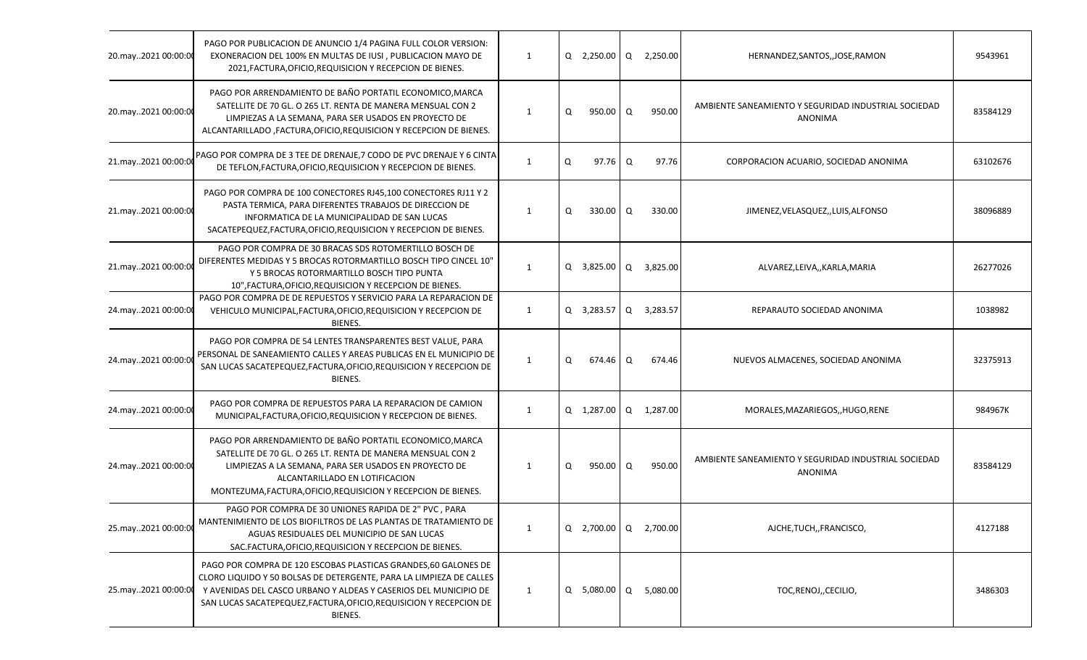| 20.may2021 00:00:00 | PAGO POR PUBLICACION DE ANUNCIO 1/4 PAGINA FULL COLOR VERSION:<br>EXONERACION DEL 100% EN MULTAS DE IUSI, PUBLICACION MAYO DE<br>2021, FACTURA, OFICIO, REQUISICION Y RECEPCION DE BIENES.                                                                                                   | 1            |   | Q 2,250.00 Q 2,250.00     |   |          | HERNANDEZ, SANTOS, , JOSE, RAMON                                       | 9543961  |
|---------------------|----------------------------------------------------------------------------------------------------------------------------------------------------------------------------------------------------------------------------------------------------------------------------------------------|--------------|---|---------------------------|---|----------|------------------------------------------------------------------------|----------|
| 20.may2021 00:00:00 | PAGO POR ARRENDAMIENTO DE BAÑO PORTATIL ECONOMICO, MARCA<br>SATELLITE DE 70 GL. O 265 LT. RENTA DE MANERA MENSUAL CON 2<br>LIMPIEZAS A LA SEMANA, PARA SER USADOS EN PROYECTO DE<br>ALCANTARILLADO, FACTURA, OFICIO, REQUISICION Y RECEPCION DE BIENES.                                      | 1            | Q | 950.00                    | Q | 950.00   | AMBIENTE SANEAMIENTO Y SEGURIDAD INDUSTRIAL SOCIEDAD<br><b>ANONIMA</b> | 83584129 |
| 21.may2021 00:00:00 | PAGO POR COMPRA DE 3 TEE DE DRENAJE, 7 CODO DE PVC DRENAJE Y 6 CINTA<br>DE TEFLON, FACTURA, OFICIO, REQUISICION Y RECEPCION DE BIENES.                                                                                                                                                       | 1            | Q | $97.76$ Q                 |   | 97.76    | CORPORACION ACUARIO, SOCIEDAD ANONIMA                                  | 63102676 |
| 21.may2021 00:00:00 | PAGO POR COMPRA DE 100 CONECTORES RJ45,100 CONECTORES RJ11 Y 2<br>PASTA TERMICA, PARA DIFERENTES TRABAJOS DE DIRECCION DE<br>INFORMATICA DE LA MUNICIPALIDAD DE SAN LUCAS<br>SACATEPEQUEZ, FACTURA, OFICIO, REQUISICION Y RECEPCION DE BIENES.                                               | 1            | Q | $330.00$ Q                |   | 330.00   | JIMENEZ, VELASQUEZ, , LUIS, ALFONSO                                    | 38096889 |
| 21.may2021 00:00:00 | PAGO POR COMPRA DE 30 BRACAS SDS ROTOMERTILLO BOSCH DE<br>DIFERENTES MEDIDAS Y 5 BROCAS ROTORMARTILLO BOSCH TIPO CINCEL 10"<br>Y 5 BROCAS ROTORMARTILLO BOSCH TIPO PUNTA<br>10", FACTURA, OFICIO, REQUISICION Y RECEPCION DE BIENES.                                                         | 1            |   | Q 3,825.00 Q              |   | 3,825.00 | ALVAREZ,LEIVA,,KARLA,MARIA                                             | 26277026 |
| 24.may2021 00:00:00 | PAGO POR COMPRA DE DE REPUESTOS Y SERVICIO PARA LA REPARACION DE<br>VEHICULO MUNICIPAL, FACTURA, OFICIO, REQUISICION Y RECEPCION DE<br>BIENES.                                                                                                                                               | $\mathbf{1}$ |   | Q 3,283.57 Q 3,283.57     |   |          | REPARAUTO SOCIEDAD ANONIMA                                             | 1038982  |
| 24.may2021 00:00:00 | PAGO POR COMPRA DE 54 LENTES TRANSPARENTES BEST VALUE, PARA<br>PERSONAL DE SANEAMIENTO CALLES Y AREAS PUBLICAS EN EL MUNICIPIO DE<br>SAN LUCAS SACATEPEQUEZ, FACTURA, OFICIO, REQUISICION Y RECEPCION DE<br>BIENES.                                                                          | 1            | Q | 674.46                    | Q | 674.46   | NUEVOS ALMACENES, SOCIEDAD ANONIMA                                     | 32375913 |
| 24.may2021 00:00:00 | PAGO POR COMPRA DE REPUESTOS PARA LA REPARACION DE CAMION<br>MUNICIPAL, FACTURA, OFICIO, REQUISICION Y RECEPCION DE BIENES.                                                                                                                                                                  | 1            |   | Q 1,287.00 Q 1,287.00     |   |          | MORALES, MAZARIEGOS, , HUGO, RENE                                      | 984967K  |
| 24.may2021 00:00:00 | PAGO POR ARRENDAMIENTO DE BAÑO PORTATIL ECONOMICO, MARCA<br>SATELLITE DE 70 GL. O 265 LT. RENTA DE MANERA MENSUAL CON 2<br>LIMPIEZAS A LA SEMANA, PARA SER USADOS EN PROYECTO DE<br>ALCANTARILLADO EN LOTIFICACION<br>MONTEZUMA, FACTURA, OFICIO, REQUISICION Y RECEPCION DE BIENES.         | 1            | Q | 950.00 Q                  |   | 950.00   | AMBIENTE SANEAMIENTO Y SEGURIDAD INDUSTRIAL SOCIEDAD<br>ANONIMA        | 83584129 |
| 25.may2021 00:00:00 | PAGO POR COMPRA DE 30 UNIONES RAPIDA DE 2" PVC, PARA<br>MANTENIMIENTO DE LOS BIOFILTROS DE LAS PLANTAS DE TRATAMIENTO DE<br>AGUAS RESIDUALES DEL MUNICIPIO DE SAN LUCAS<br>SAC.FACTURA, OFICIO, REQUISICION Y RECEPCION DE BIENES.                                                           | 1            |   | $Q$ 2,700.00 $Q$ 2,700.00 |   |          | AJCHE, TUCH, , FRANCISCO,                                              | 4127188  |
| 25.may2021 00:00:00 | PAGO POR COMPRA DE 120 ESCOBAS PLASTICAS GRANDES, 60 GALONES DE<br>CLORO LIQUIDO Y 50 BOLSAS DE DETERGENTE, PARA LA LIMPIEZA DE CALLES<br>Y AVENIDAS DEL CASCO URBANO Y ALDEAS Y CASERIOS DEL MUNICIPIO DE<br>SAN LUCAS SACATEPEQUEZ, FACTURA, OFICIO, REQUISICION Y RECEPCION DE<br>BIENES. | 1            |   | Q 5,080.00 Q              |   | 5,080.00 | TOC, RENOJ, , CECILIO,                                                 | 3486303  |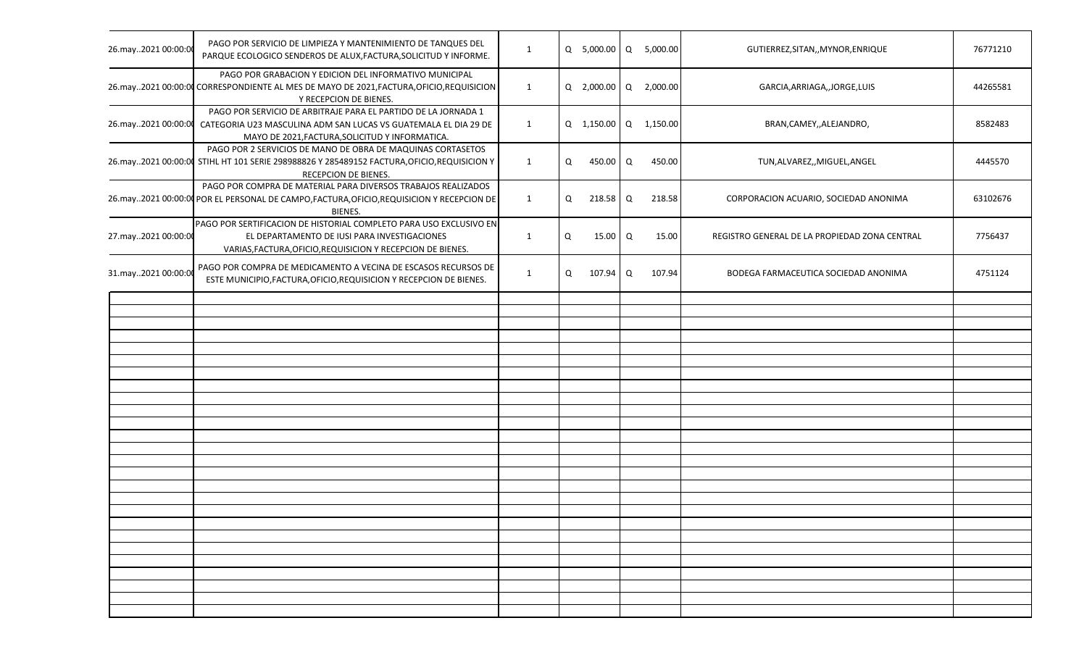| 26.may2021 00:00:00 | PAGO POR SERVICIO DE LIMPIEZA Y MANTENIMIENTO DE TANQUES DEL<br>PARQUE ECOLOGICO SENDEROS DE ALUX, FACTURA, SOLICITUD Y INFORME.                                                     | 1            |   | Q 5,000.00 Q 5,000.00 |        | GUTIERREZ, SITAN,, MYNOR, ENRIQUE             | 76771210 |
|---------------------|--------------------------------------------------------------------------------------------------------------------------------------------------------------------------------------|--------------|---|-----------------------|--------|-----------------------------------------------|----------|
|                     | PAGO POR GRABACION Y EDICION DEL INFORMATIVO MUNICIPAL<br>26.may2021 00:00:00 CORRESPONDIENTE AL MES DE MAYO DE 2021, FACTURA, OFICIO, REQUISICION<br>Y RECEPCION DE BIENES.         | 1            |   | Q 2,000.00 Q 2,000.00 |        | GARCIA, ARRIAGA, , JORGE, LUIS                | 44265581 |
| 26.may2021 00:00:00 | PAGO POR SERVICIO DE ARBITRAJE PARA EL PARTIDO DE LA JORNADA 1<br>CATEGORIA U23 MASCULINA ADM SAN LUCAS VS GUATEMALA EL DIA 29 DE<br>MAYO DE 2021, FACTURA, SOLICITUD Y INFORMATICA. | $\mathbf{1}$ |   | Q 1,150.00 Q 1,150.00 |        | BRAN, CAMEY, , ALEJANDRO,                     | 8582483  |
|                     | PAGO POR 2 SERVICIOS DE MANO DE OBRA DE MAQUINAS CORTASETOS<br>26.may2021 00:00:00 STIHL HT 101 SERIE 298988826 Y 285489152 FACTURA, OFICIO, REQUISICION Y<br>RECEPCION DE BIENES.   | $\mathbf{1}$ | Q | 450.00 Q              | 450.00 | TUN, ALVAREZ,, MIGUEL, ANGEL                  | 4445570  |
|                     | PAGO POR COMPRA DE MATERIAL PARA DIVERSOS TRABAJOS REALIZADOS<br>26.may2021 00:00:00 POR EL PERSONAL DE CAMPO, FACTURA, OFICIO, REQUISICION Y RECEPCION DE<br>BIENES.                | $\mathbf{1}$ | Q | 218.58 Q              | 218.58 | CORPORACION ACUARIO, SOCIEDAD ANONIMA         | 63102676 |
| 27.may2021 00:00:00 | PAGO POR SERTIFICACION DE HISTORIAL COMPLETO PARA USO EXCLUSIVO EN<br>EL DEPARTAMENTO DE IUSI PARA INVESTIGACIONES<br>VARIAS, FACTURA, OFICIO, REQUISICION Y RECEPCION DE BIENES.    | $\mathbf{1}$ | Q | 15.00 Q               | 15.00  | REGISTRO GENERAL DE LA PROPIEDAD ZONA CENTRAL | 7756437  |
| 31.may2021 00:00:00 | PAGO POR COMPRA DE MEDICAMENTO A VECINA DE ESCASOS RECURSOS DE<br>ESTE MUNICIPIO, FACTURA, OFICIO, REQUISICION Y RECEPCION DE BIENES.                                                | $\mathbf{1}$ | Q | 107.94 Q              | 107.94 | BODEGA FARMACEUTICA SOCIEDAD ANONIMA          | 4751124  |
|                     |                                                                                                                                                                                      |              |   |                       |        |                                               |          |
|                     |                                                                                                                                                                                      |              |   |                       |        |                                               |          |
|                     |                                                                                                                                                                                      |              |   |                       |        |                                               |          |
|                     |                                                                                                                                                                                      |              |   |                       |        |                                               |          |
|                     |                                                                                                                                                                                      |              |   |                       |        |                                               |          |
|                     |                                                                                                                                                                                      |              |   |                       |        |                                               |          |
|                     |                                                                                                                                                                                      |              |   |                       |        |                                               |          |
|                     |                                                                                                                                                                                      |              |   |                       |        |                                               |          |
|                     |                                                                                                                                                                                      |              |   |                       |        |                                               |          |
|                     |                                                                                                                                                                                      |              |   |                       |        |                                               |          |
|                     |                                                                                                                                                                                      |              |   |                       |        |                                               |          |
|                     |                                                                                                                                                                                      |              |   |                       |        |                                               |          |
|                     |                                                                                                                                                                                      |              |   |                       |        |                                               |          |
|                     |                                                                                                                                                                                      |              |   |                       |        |                                               |          |
|                     |                                                                                                                                                                                      |              |   |                       |        |                                               |          |
|                     |                                                                                                                                                                                      |              |   |                       |        |                                               |          |
|                     |                                                                                                                                                                                      |              |   |                       |        |                                               |          |
|                     |                                                                                                                                                                                      |              |   |                       |        |                                               |          |
|                     |                                                                                                                                                                                      |              |   |                       |        |                                               |          |
|                     |                                                                                                                                                                                      |              |   |                       |        |                                               |          |
|                     |                                                                                                                                                                                      |              |   |                       |        |                                               |          |
|                     |                                                                                                                                                                                      |              |   |                       |        |                                               |          |